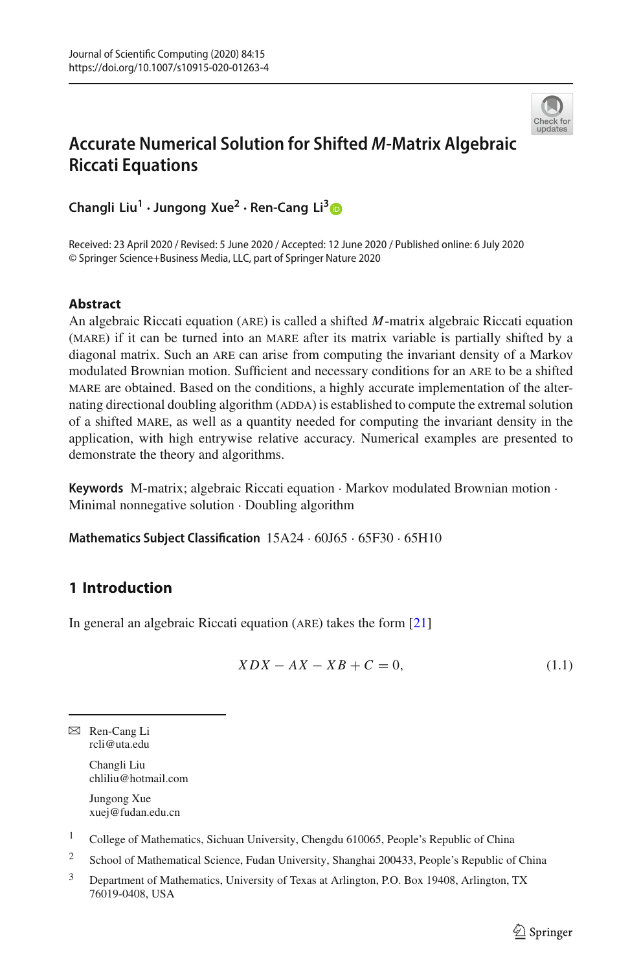

# **Accurate Numerical Solution for Shifted** *M***-Matrix Algebraic Riccati Equations**

**Changli Liu1 · Jungong Xue<sup>2</sup> · Ren-Cang Li[3](http://orcid.org/0000-0002-4388-3398)**

Received: 23 April 2020 / Revised: 5 June 2020 / Accepted: 12 June 2020 / Published online: 6 July 2020 © Springer Science+Business Media, LLC, part of Springer Nature 2020

# **Abstract**

An algebraic Riccati equation (are) is called a shifted *M*-matrix algebraic Riccati equation (MARE) if it can be turned into an MARE after its matrix variable is partially shifted by a diagonal matrix. Such an ARE can arise from computing the invariant density of a Markov modulated Brownian motion. Sufficient and necessary conditions for an are to be a shifted mare are obtained. Based on the conditions, a highly accurate implementation of the alternating directional doubling algorithm (ADDA) is established to compute the extremal solution of a shifted mare, as well as a quantity needed for computing the invariant density in the application, with high entrywise relative accuracy. Numerical examples are presented to demonstrate the theory and algorithms.

**Keywords** M-matrix; algebraic Riccati equation · Markov modulated Brownian motion · Minimal nonnegative solution · Doubling algorithm

**Mathematics Subject Classification** 15A24 · 60J65 · 65F30 · 65H10

# <span id="page-0-1"></span>**1 Introduction**

In general an algebraic Riccati equation (are) takes the form [\[21](#page-26-0)]

<span id="page-0-0"></span>
$$
XDX - AX - XB + C = 0,\t(1.1)
$$

B Ren-Cang Li rcli@uta.edu

> Changli Liu chliliu@hotmail.com

Jungong Xue xuej@fudan.edu.cn

<sup>1</sup> College of Mathematics, Sichuan University, Chengdu 610065, People's Republic of China

<sup>2</sup> School of Mathematical Science, Fudan University, Shanghai 200433, People's Republic of China

<sup>3</sup> Department of Mathematics, University of Texas at Arlington, P.O. Box 19408, Arlington, TX 76019-0408, USA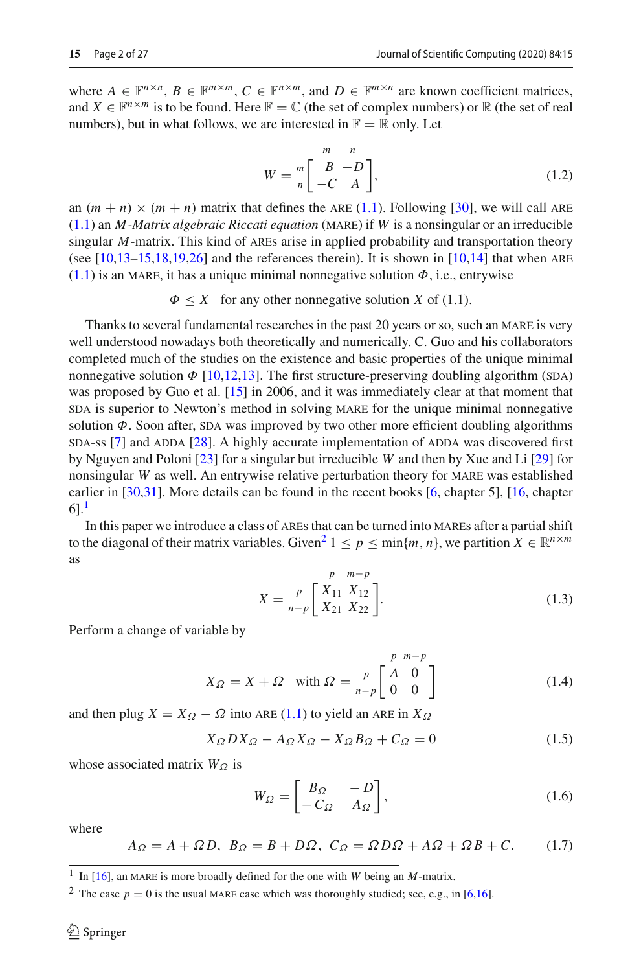where  $A \in \mathbb{F}^{n \times n}$ ,  $B \in \mathbb{F}^{m \times m}$ ,  $C \in \mathbb{F}^{n \times m}$ , and  $D \in \mathbb{F}^{m \times n}$  are known coefficient matrices, and  $X \in \mathbb{F}^{n \times m}$  is to be found. Here  $\mathbb{F} = \mathbb{C}$  (the set of complex numbers) or  $\mathbb{R}$  (the set of real numbers), but in what follows, we are interested in  $\mathbb{F} = \mathbb{R}$  only. Let

<span id="page-1-4"></span>
$$
W = \begin{bmatrix} m & n \\ B & -D \\ -C & A \end{bmatrix},
$$
\n(1.2)

an  $(m + n) \times (m + n)$  matrix that defines the ARE [\(1.1\)](#page-0-0). Following [\[30\]](#page-26-1), we will call ARE [\(1.1\)](#page-0-0) an *M*-Matrix algebraic Riccati equation (MARE) if *W* is a nonsingular or an irreducible singular *M*-matrix. This kind of ARES arise in applied probability and transportation theory (see  $[10,13-15,18,19,26]$  $[10,13-15,18,19,26]$  $[10,13-15,18,19,26]$  $[10,13-15,18,19,26]$  $[10,13-15,18,19,26]$  $[10,13-15,18,19,26]$  $[10,13-15,18,19,26]$  and the references therein). It is shown in  $[10,14]$  $[10,14]$  that when ARE  $(1.1)$  is an MARE, it has a unique minimal nonnegative solution  $\Phi$ , i.e., entrywise

 $\Phi \leq X$  for any other nonnegative solution *X* of (1.1).

Thanks to several fundamental researches in the past 20 years or so, such an MARE is very well understood nowadays both theoretically and numerically. C. Guo and his collaborators completed much of the studies on the existence and basic properties of the unique minimal nonnegative solution  $\Phi$  [\[10](#page-26-2)[,12](#page-26-9)[,13](#page-26-3)]. The first structure-preserving doubling algorithm (SDA) was proposed by Guo et al. [\[15\]](#page-26-4) in 2006, and it was immediately clear at that moment that sda is superior to Newton's method in solving MARE for the unique minimal nonnegative solution  $\Phi$ . Soon after, SDA was improved by two other more efficient doubling algorithms  $SDA-ss$  [\[7](#page-26-10)] and  $ADDA$  [\[28](#page-26-11)]. A highly accurate implementation of  $ADDA$  was discovered first by Nguyen and Poloni [\[23\]](#page-26-12) for a singular but irreducible *W* and then by Xue and Li [\[29\]](#page-26-13) for nonsingular *W* as well. An entrywise relative perturbation theory for MARE was established earlier in [\[30](#page-26-1)[,31](#page-26-14)]. More details can be found in the recent books [\[6,](#page-25-0) chapter 5], [\[16](#page-26-15), chapter  $61<sup>1</sup>$ 

In this paper we introduce a class of AREs that can be turned into MAREs after a partial shift to the diagonal of their matrix variables. Given<sup>[2](#page-1-1)</sup>  $1 \leq p \leq \min\{m, n\}$ , we partition  $X \in \mathbb{R}^{n \times m}$ as

<span id="page-1-6"></span>
$$
X = \sum_{n-p}^{p} \begin{bmatrix} X_{11} & X_{12} \\ X_{21} & X_{22} \end{bmatrix}.
$$
 (1.3)

Perform a change of variable by

<span id="page-1-3"></span>
$$
X_{\Omega} = X + \Omega \quad \text{with } \Omega = \frac{p}{n-p} \begin{bmatrix} p & m-p \\ \Lambda & 0 \\ 0 & 0 \end{bmatrix} \tag{1.4}
$$

and then plug  $X = X_{\Omega} - \Omega$  into ARE [\(1.1\)](#page-0-0) to yield an ARE in  $X_{\Omega}$ 

<span id="page-1-2"></span>
$$
X_{\Omega}DX_{\Omega} - A_{\Omega}X_{\Omega} - X_{\Omega}B_{\Omega} + C_{\Omega} = 0
$$
\n(1.5)

whose associated matrix *W*<sub>Ω</sub> is

<span id="page-1-5"></span>
$$
W_{\Omega} = \begin{bmatrix} B_{\Omega} & -D \\ -C_{\Omega} & A_{\Omega} \end{bmatrix},
$$
\n(1.6)

where

<span id="page-1-8"></span>
$$
A_{\Omega} = A + \Omega D, \ B_{\Omega} = B + D\Omega, \ C_{\Omega} = \Omega D\Omega + A\Omega + \Omega B + C. \tag{1.7}
$$

<span id="page-1-7"></span><span id="page-1-0"></span><sup>&</sup>lt;sup>1</sup> In [\[16](#page-26-15)], an MARE is more broadly defined for the one with *W* being an *M*-matrix.

<span id="page-1-1"></span><sup>&</sup>lt;sup>2</sup> The case  $p = 0$  is the usual MARE case which was thoroughly studied; see, e.g., in [\[6](#page-25-0)[,16\]](#page-26-15).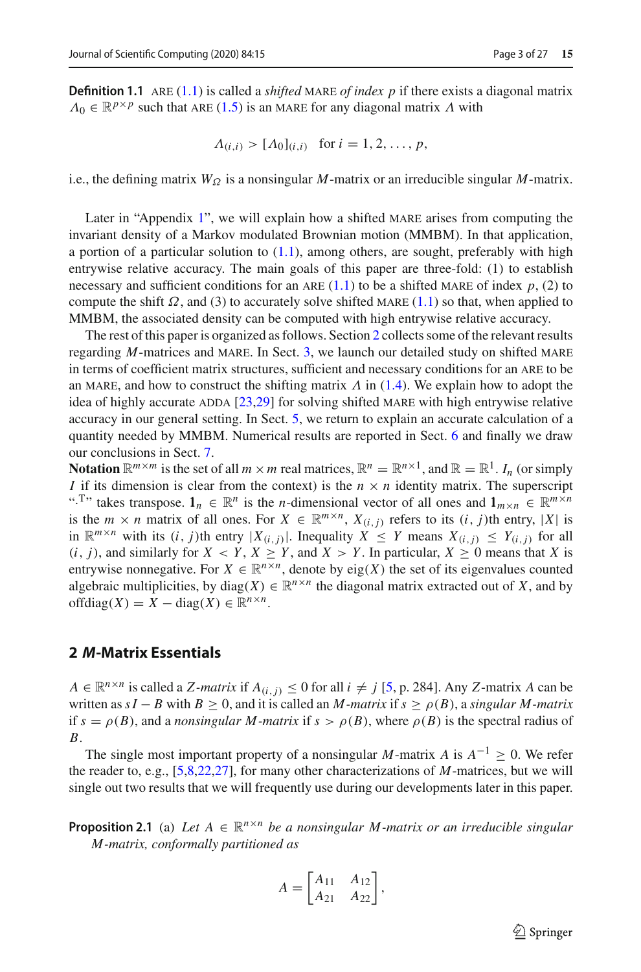**Definition 1.1** ARE [\(1.1\)](#page-0-0) is called a *shifted* MARE *of index p* if there exists a diagonal matrix  $\Lambda_0 \in \mathbb{R}^{p \times p}$  such that ARE [\(1.5\)](#page-1-2) is an MARE for any diagonal matrix  $\Lambda$  with

$$
\Lambda_{(i,i)} > [\Lambda_0]_{(i,i)}
$$
 for  $i = 1, 2, ..., p$ ,

i.e., the defining matrix  $W_{\Omega}$  is a nonsingular *M*-matrix or an irreducible singular *M*-matrix.

Later in "Appendix [1"](#page-21-0), we will explain how a shifted MARE arises from computing the invariant density of a Markov modulated Brownian motion (MMBM). In that application, a portion of a particular solution to  $(1.1)$ , among others, are sought, preferably with high entrywise relative accuracy. The main goals of this paper are three-fold: (1) to establish necessary and sufficient conditions for an ARE  $(1.1)$  to be a shifted MARE of index  $p$ ,  $(2)$  to compute the shift  $\Omega$ , and (3) to accurately solve shifted MARE [\(1.1\)](#page-0-0) so that, when applied to MMBM, the associated density can be computed with high entrywise relative accuracy.

The rest of this paper is organized as follows. Section [2](#page-2-0) collects some of the relevant results regarding *M*-matrices and MARE. In Sect. [3,](#page-5-0) we launch our detailed study on shifted MARE in terms of coefficient matrix structures, sufficient and necessary conditions for an are to be an MARE, and how to construct the shifting matrix  $\Lambda$  in [\(1.4\)](#page-1-3). We explain how to adopt the idea of highly accurate ADDA  $[23,29]$  $[23,29]$  $[23,29]$  for solving shifted MARE with high entrywise relative accuracy in our general setting. In Sect. [5,](#page-15-0) we return to explain an accurate calculation of a quantity needed by MMBM. Numerical results are reported in Sect. [6](#page-17-0) and finally we draw our conclusions in Sect. [7.](#page-20-0)

**Notation**  $\mathbb{R}^{m \times m}$  is the set of all  $m \times m$  real matrices,  $\mathbb{R}^n = \mathbb{R}^{n \times 1}$ , and  $\mathbb{R} = \mathbb{R}^1$ . *I<sub>n</sub>* (or simply *I* if its dimension is clear from the context) is the  $n \times n$  identity matrix. The superscript ".<sup>T</sup>" takes transpose.  $\mathbf{1}_n \in \mathbb{R}^n$  is the *n*-dimensional vector of all ones and  $\mathbf{1}_{m \times n} \in \mathbb{R}^{m \times n}$ is the  $m \times n$  matrix of all ones. For  $X \in \mathbb{R}^{m \times n}$ ,  $X_{(i,j)}$  refers to its  $(i,j)$ th entry, |X| is in  $\mathbb{R}^{m \times n}$  with its  $(i, j)$ th entry  $|X_{(i,j)}|$ . Inequality  $X \leq Y$  means  $X_{(i,j)} \leq Y_{(i,j)}$  for all  $(i, j)$ , and similarly for  $X \leq Y$ ,  $X \geq Y$ , and  $X > Y$ . In particular,  $X \geq 0$  means that *X* is entrywise nonnegative. For  $X \in \mathbb{R}^{n \times n}$ , denote by eig(*X*) the set of its eigenvalues counted algebraic multiplicities, by diag( $X$ )  $\in \mathbb{R}^{n \times n}$  the diagonal matrix extracted out of  $X$ , and by offdiag( $X$ ) =  $X$  – diag( $X$ )  $\in \mathbb{R}^{n \times n}$ .

## <span id="page-2-0"></span>**2** *M***-Matrix Essentials**

*A* ∈  $\mathbb{R}^{n \times n}$  is called a *Z*-matrix if  $A_{(i,j)}$  ≤ 0 for all  $i \neq j$  [\[5](#page-25-1), p. 284]. Any *Z*-matrix *A* can be written as  $sI - B$  with  $B \ge 0$ , and it is called an *M*-matrix if  $s \ge \rho(B)$ , a *singular M*-matrix if  $s = \rho(B)$ , and a *nonsingular M-matrix* if  $s > \rho(B)$ , where  $\rho(B)$  is the spectral radius of *B*.

The single most important property of a nonsingular *M*-matrix *A* is  $A^{-1} \geq 0$ . We refer the reader to, e.g., [\[5](#page-25-1)[,8](#page-26-16)[,22](#page-26-17)[,27\]](#page-26-18), for many other characterizations of *M*-matrices, but we will single out two results that we will frequently use during our developments later in this paper.

<span id="page-2-1"></span>**Proposition 2.1** (a) Let  $A \in \mathbb{R}^{n \times n}$  be a nonsingular M-matrix or an irreducible singular *M -matrix, conformally partitioned as*

$$
A = \begin{bmatrix} A_{11} & A_{12} \\ A_{21} & A_{22} \end{bmatrix},
$$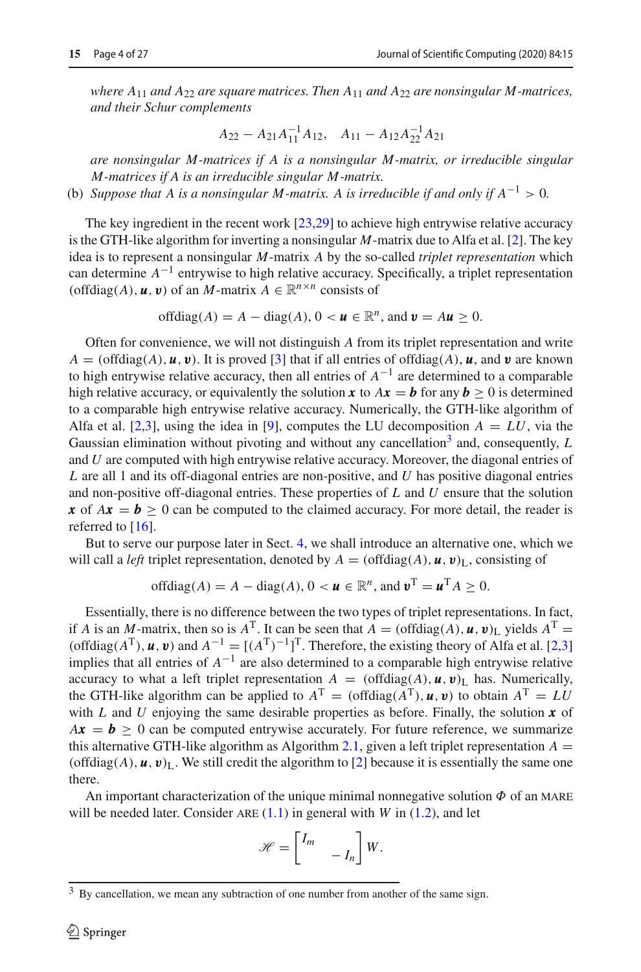*where A*<sup>11</sup> *and A*<sup>22</sup> *are square matrices. Then A*<sup>11</sup> *and A*<sup>22</sup> *are nonsingular M -matrices, and their Schur complements*

$$
A_{22} - A_{21}A_{11}^{-1}A_{12}, \quad A_{11} - A_{12}A_{22}^{-1}A_{21}
$$

*are nonsingular M -matrices if A is a nonsingular M -matrix, or irreducible singular M -matrices if A is an irreducible singular M -matrix.*

(b) *Suppose that A is a nonsingular M-matrix. A is irreducible if and only if*  $A^{-1} > 0$ .

The key ingredient in the recent work [\[23](#page-26-12)[,29\]](#page-26-13) to achieve high entrywise relative accuracy is the GTH-like algorithm for inverting a nonsingular *M*-matrix due to Alfa et al. [\[2\]](#page-25-2). The key idea is to represent a nonsingular *M*-matrix *A* by the so-called *triplet representation* which can determine *A*−<sup>1</sup> entrywise to high relative accuracy. Specifically, a triplet representation (offdiag(*A*),  $\boldsymbol{u}$ ,  $\boldsymbol{v}$ ) of an *M*-matrix  $A \in \mathbb{R}^{n \times n}$  consists of

offdiag
$$
(A)
$$
 =  $A$  – diag $(A)$ ,  $0 < u \in \mathbb{R}^n$ , and  $v = Au \ge 0$ .

Often for convenience, we will not distinguish *A* from its triplet representation and write  $A = (offdiag(A), u, v)$ . It is proved [\[3](#page-25-3)] that if all entries of offdiag(*A*), *u*, and *v* are known to high entrywise relative accuracy, then all entries of *A*−<sup>1</sup> are determined to a comparable high relative accuracy, or equivalently the solution **x** to  $Ax = b$  for any  $b \ge 0$  is determined to a comparable high entrywise relative accuracy. Numerically, the GTH-like algorithm of Alfa et al. [\[2](#page-25-2)[,3](#page-25-3)], using the idea in [\[9](#page-26-19)], computes the LU decomposition  $A = LU$ , via the Gaussian elimination without pivoting and without any cancellation<sup>3</sup> and, consequently, *L* and *U* are computed with high entrywise relative accuracy. Moreover, the diagonal entries of *L* are all 1 and its off-diagonal entries are non-positive, and *U* has positive diagonal entries and non-positive off-diagonal entries. These properties of *L* and *U* ensure that the solution *x* of  $Ax = b \ge 0$  can be computed to the claimed accuracy. For more detail, the reader is referred to  $[16]$ .

But to serve our purpose later in Sect. [4,](#page-9-0) we shall introduce an alternative one, which we will call a *left* triplet representation, denoted by  $A = (\text{offdiag}(A), \mathbf{u}, \mathbf{v})_L$ , consisting of

offdiag
$$
(A)
$$
 =  $A$  – diag $(A)$ ,  $0 < u \in \mathbb{R}^n$ , and  $v^T = u^T A \ge 0$ .

Essentially, there is no difference between the two types of triplet representations. In fact, if *A* is an *M*-matrix, then so is  $A<sup>T</sup>$ . It can be seen that  $\vec{A} = (\text{offdiag}(A), \vec{u}, \vec{v})$ <sub>L</sub> yields  $A<sup>T</sup> =$ (offdiag( $A^T$ ), *u*, *v*) and  $A^{-1} = [(A^T)^{-1}]^T$ . Therefore, the existing theory of Alfa et al. [\[2](#page-25-2)[,3\]](#page-25-3) implies that all entries of  $A^{-1}$  are also determined to a comparable high entrywise relative accuracy to what a left triplet representation  $A = (\text{offdiag}(A), \boldsymbol{u}, \boldsymbol{v})$ <sub>L</sub> has. Numerically, the GTH-like algorithm can be applied to  $A^T = (\text{offdiag}(A^T), \boldsymbol{u}, \boldsymbol{v})$  to obtain  $A^T = LU$ with *L* and *U* enjoying the same desirable properties as before. Finally, the solution *x* of  $Ax = b \ge 0$  can be computed entrywise accurately. For future reference, we summarize this alternative GTH-like algorithm as Algorithm [2.1,](#page-4-0) given a left triplet representation  $A =$ (offdiag $(A)$ ,  $\boldsymbol{u}$ ,  $\boldsymbol{v}$ )<sub>L</sub>. We still credit the algorithm to [\[2\]](#page-25-2) because it is essentially the same one there.

An important characterization of the unique minimal nonnegative solution  $\Phi$  of an MARE will be needed later. Consider  $ARE(1.1)$  $ARE(1.1)$  in general with *W* in  $(1.2)$ , and let

$$
\mathscr{H} = \begin{bmatrix} I_m & & \\ & -I_n \end{bmatrix} W.
$$

<span id="page-3-0"></span><sup>&</sup>lt;sup>3</sup> By cancellation, we mean any subtraction of one number from another of the same sign.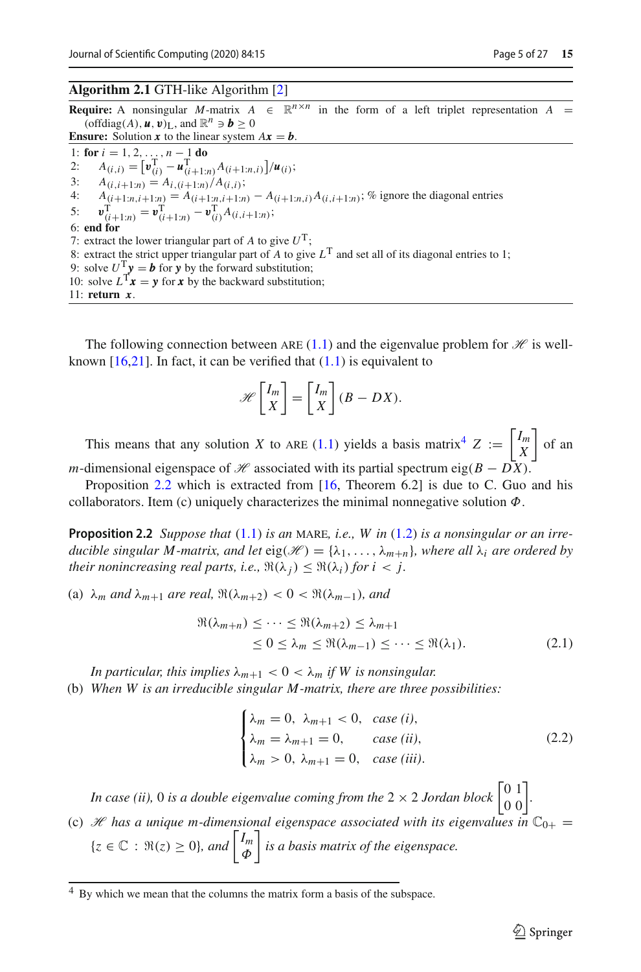#### <span id="page-4-0"></span>**Algorithm 2.1** GTH-like Algorithm [\[2\]](#page-25-2)

**Require:** A nonsingular *M*-matrix  $A \in \mathbb{R}^{n \times n}$  in the form of a left triplet representation  $A =$ (offdiag(A),  $\boldsymbol{u}$ ,  $\boldsymbol{v}$ )<sub>L</sub>, and  $\mathbb{R}^n \ni \boldsymbol{b} > 0$ **Ensure:** Solution **x** to the linear system  $Ax = b$ . 1: **for**  $i = 1, 2, ..., n - 1$  **do**<br>2:  $A_{(i, i)} = [\mathbf{v}_{(i)}^T - \mathbf{u}_{(i+1)}^T]$ 2:  $A_{(i,i)} = [\mathbf{v}_{(i)}^{\mathrm{T}} - \mathbf{u}_{(i+1:n)}^{\mathrm{T}} A_{(i+1:n,i)}]/\mathbf{u}_{(i)};$ 3:  $A_{(i,i+1:n)} = A_{i,(i+1:n)}/A_{(i,i)};$ <br>4:  $A_{(i+1:n+1:n)} = A_{(i+1:n+1:n)}$ 4:  $A_{(i+1:n,i+1:n)} = A_{(i+1:n,i+1:n)} - A_{(i+1:n,i)}A_{(i,i+1:n)}$ ; % ignore the diagonal entries 5:  $v_{(i+1:n)}^{\mathrm{T}} = v_{(i+1:n)}^{\mathrm{T}} - v_{(i)}^{\mathrm{T}} A_{(i,i+1:n)};$ 6: **end for** 7: extract the lower triangular part of  $A$  to give  $U^T$ ; 8: extract the strict upper triangular part of *A* to give  $L^T$  and set all of its diagonal entries to 1; 9: solve  $U^T y = b$  for y by the forward substitution; 10: solve  $L^{T}x = y$  for *x* by the backward substitution; 11: **return** *x* .

The following connection between ARE  $(1.1)$  and the eigenvalue problem for  $\mathcal{H}$  is wellknown  $[16,21]$  $[16,21]$ . In fact, it can be verified that  $(1.1)$  is equivalent to

$$
\mathscr{H}\left[\frac{I_m}{X}\right] = \left[\frac{I_m}{X}\right](B - DX).
$$

This means that any solution *X* to ARE [\(1.1\)](#page-0-0) yields a basis matrix<sup>[4](#page-4-1)</sup>  $Z := \begin{bmatrix} I_m \\ X \end{bmatrix}$ *X*  $\int$  of an *m*-dimensional eigenspace of *H* associated with its partial spectrum eig( $B - D\bar{X}$ ).

<span id="page-4-2"></span>Proposition [2.2](#page-4-2) which is extracted from [\[16](#page-26-15), Theorem 6.2] is due to C. Guo and his collaborators. Item (c) uniquely characterizes the minimal nonnegative solution  $\Phi$ .

**Proposition 2.2** *Suppose that*  $(1.1)$  *is an* MARE, *i.e.*, *W in*  $(1.2)$  *is a nonsingular or an irreducible singular M-matrix, and let*  $eig(\mathcal{H}) = {\lambda_1, \ldots, \lambda_{m+n}}$ *, where all*  $\lambda_i$  *are ordered by their nonincreasing real parts, i.e.,*  $\Re(\lambda_i) \leq \Re(\lambda_i)$  *for i* < *j.* 

(a)  $\lambda_m$  *and*  $\lambda_{m+1}$  *are real,*  $\Re(\lambda_{m+2}) < 0 < \Re(\lambda_{m-1})$ *, and* 

$$
\Re(\lambda_{m+n}) \leq \cdots \leq \Re(\lambda_{m+2}) \leq \lambda_{m+1}
$$
  
\n
$$
\leq 0 \leq \lambda_m \leq \Re(\lambda_{m-1}) \leq \cdots \leq \Re(\lambda_1).
$$
 (2.1)

*In particular, this implies*  $\lambda_{m+1} < 0 < \lambda_m$  *if W is nonsingular.* 

(b) *When W is an irreducible singular M -matrix, there are three possibilities:*

$$
\begin{cases}\n\lambda_m = 0, & \lambda_{m+1} < 0, \text{ case } (i), \\
\lambda_m = \lambda_{m+1} = 0, & \text{case } (ii), \\
\lambda_m > 0, \lambda_{m+1} = 0, & \text{case } (iii).\n\end{cases} \tag{2.2}
$$

*In case (ii),* 0 *is a double eigenvalue coming from the*  $2 \times 2$  *Jordan block*  $\begin{bmatrix} 0 & 1 \\ 0 & 0 \end{bmatrix}$ . (c) *H* has a unique m-dimensional eigenspace associated with its eigenvalues in  $\mathbb{C}_{0+}$  =

 $\{z \in \mathbb{C} : \Re(z) \geq 0\}$ *, and*  $\begin{bmatrix} I_m \\ \Phi \end{bmatrix}$ Φ *is a basis matrix of the eigenspace.*

<span id="page-4-1"></span><sup>4</sup> By which we mean that the columns the matrix form a basis of the subspace.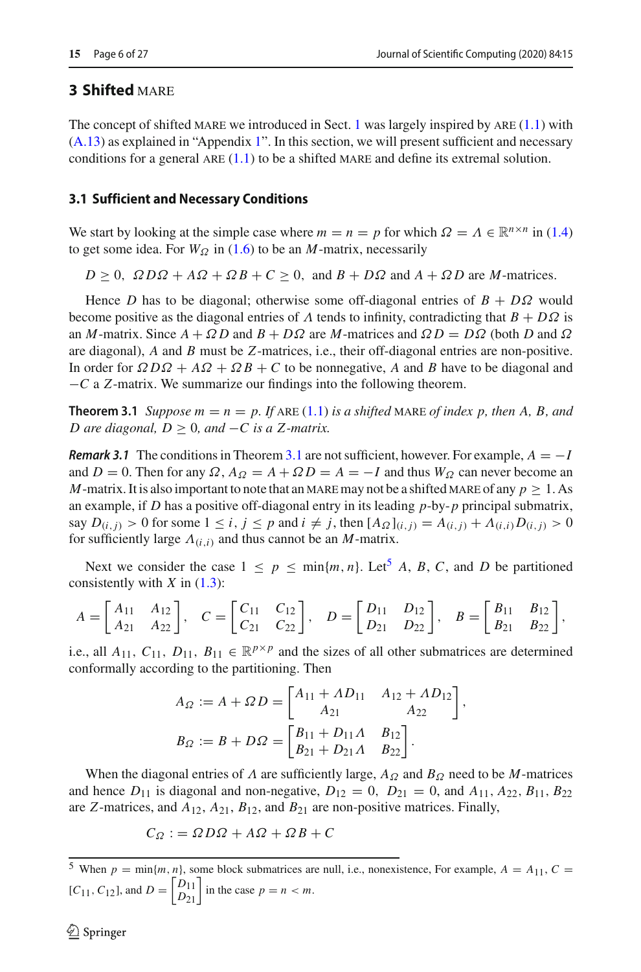# <span id="page-5-0"></span>**3 Shifted MARE**

The concept of shifted MARE we introduced in Sect. [1](#page-0-1) was largely inspired by ARE  $(1.1)$  with [\(A.13\)](#page-23-0) as explained in "Appendix [1"](#page-21-0). In this section, we will present sufficient and necessary conditions for a general ARE  $(1.1)$  to be a shifted MARE and define its extremal solution.

## **3.1 Sufficient and Necessary Conditions**

We start by looking at the simple case where  $m = n = p$  for which  $\Omega = \Lambda \in \mathbb{R}^{n \times n}$  in [\(1.4\)](#page-1-3) to get some idea. For  $W_{\Omega}$  in [\(1.6\)](#page-1-5) to be an *M*-matrix, necessarily

 $D > 0$ ,  $\Omega D\Omega + A\Omega + \Omega B + C > 0$ , and  $B + D\Omega$  and  $A + \Omega D$  are *M*-matrices.

Hence *D* has to be diagonal; otherwise some off-diagonal entries of  $B + D\Omega$  would become positive as the diagonal entries of  $\Lambda$  tends to infinity, contradicting that  $B + D\Omega$  is an *M*-matrix. Since  $A + \Omega D$  and  $B + D\Omega$  are *M*-matrices and  $\Omega D = D\Omega$  (both *D* and  $\Omega$ ) are diagonal), *A* and *B* must be *Z*-matrices, i.e., their off-diagonal entries are non-positive. In order for  $\Omega D\Omega + A\Omega + \Omega B + C$  to be nonnegative, *A* and *B* have to be diagonal and −*C* a *Z*-matrix. We summarize our findings into the following theorem.

<span id="page-5-1"></span>**Theorem 3.1** *Suppose*  $m = n = p$ *. If ARE [\(1.1\)](#page-0-0) is a shifted MARE of index p, then A, B, and D* are diagonal,  $D > 0$ , and  $-C$  is a Z-matrix.

*Remark [3.1](#page-5-1)* The conditions in Theorem 3.1 are not sufficient, however. For example,  $A = -I$ and  $D = 0$ . Then for any  $\Omega$ ,  $A_{\Omega} = A + \Omega D = A = -I$  and thus  $W_{\Omega}$  can never become an *M*-matrix. It is also important to note that an MARE may not be a shifted MARE of any  $p \geq 1$ . As an example, if *D* has a positive off-diagonal entry in its leading *p*-by-*p* principal submatrix, say  $D(i, j) > 0$  for some  $1 \le i, j \le p$  and  $i \ne j$ , then  $[A_{\Omega}]_{(i,j)} = A(i, j) + A(i, j)D(i, j) > 0$ for sufficiently large  $\Lambda_{(i,i)}$  and thus cannot be an *M*-matrix.

Next we consider the case  $1 \leq p \leq \min\{m, n\}$ . Let<sup>[5](#page-5-2)</sup> A, B, C, and D be partitioned consistently with *X* in [\(1.3\)](#page-1-6):

$$
A = \begin{bmatrix} A_{11} & A_{12} \\ A_{21} & A_{22} \end{bmatrix}, \quad C = \begin{bmatrix} C_{11} & C_{12} \\ C_{21} & C_{22} \end{bmatrix}, \quad D = \begin{bmatrix} D_{11} & D_{12} \\ D_{21} & D_{22} \end{bmatrix}, \quad B = \begin{bmatrix} B_{11} & B_{12} \\ B_{21} & B_{22} \end{bmatrix},
$$

i.e., all  $A_{11}$ ,  $C_{11}$ ,  $D_{11}$ ,  $B_{11} \in \mathbb{R}^{p \times p}$  and the sizes of all other submatrices are determined conformally according to the partitioning. Then

$$
A_{\Omega} := A + \Omega D = \begin{bmatrix} A_{11} + \Lambda D_{11} & A_{12} + \Lambda D_{12} \\ A_{21} & A_{22} \end{bmatrix},
$$
  
\n
$$
B_{\Omega} := B + D\Omega = \begin{bmatrix} B_{11} + D_{11}\Lambda & B_{12} \\ B_{21} + D_{21}\Lambda & B_{22} \end{bmatrix}.
$$

When the diagonal entries of  $\Lambda$  are sufficiently large,  $A_{\Omega}$  and  $B_{\Omega}$  need to be  $M$ -matrices and hence  $D_{11}$  is diagonal and non-negative,  $D_{12} = 0$ ,  $D_{21} = 0$ , and  $A_{11}$ ,  $A_{22}$ ,  $B_{11}$ ,  $B_{22}$ are *Z*-matrices, and *A*12, *A*21, *B*12, and *B*<sup>21</sup> are non-positive matrices. Finally,

$$
C_{\Omega} := \Omega D \Omega + A \Omega + \Omega B + C
$$

<span id="page-5-2"></span><sup>5</sup> When  $p = \min\{m, n\}$ , some block submatrices are null, i.e., nonexistence, For example,  $A = A_{11}$ ,  $C =$  $[C_{11}, C_{12}]$ , and  $D = \begin{bmatrix} D_{11} \\ D_{21} \end{bmatrix}$  in the case  $p = n < m$ .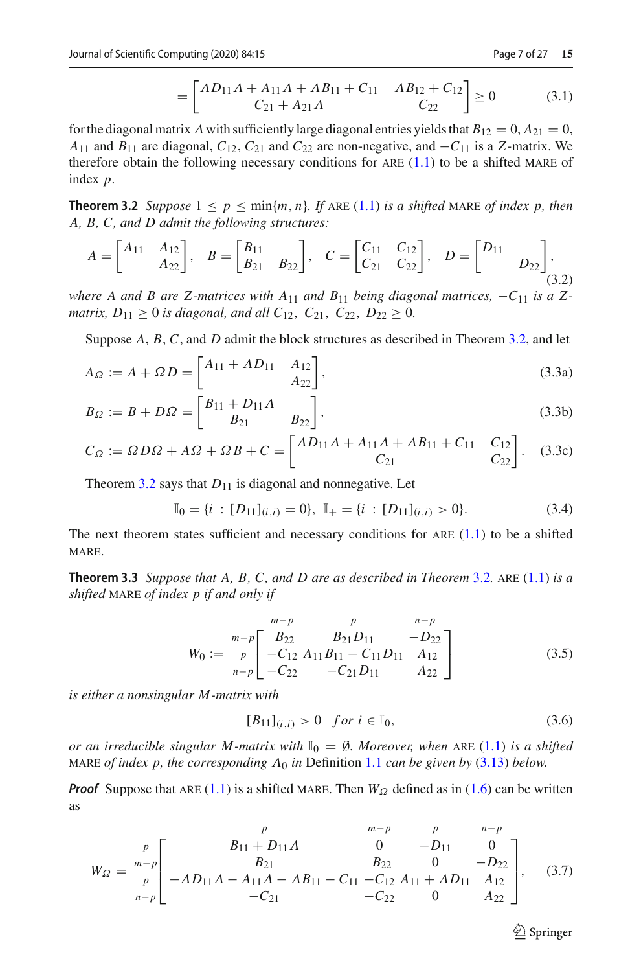$$
= \begin{bmatrix} \Lambda D_{11} \Lambda + A_{11} \Lambda + \Lambda B_{11} + C_{11} & \Lambda B_{12} + C_{12} \\ C_{21} + A_{21} \Lambda & C_{22} \end{bmatrix} \ge 0
$$
 (3.1)

for the diagonal matrix  $\Lambda$  with sufficiently large diagonal entries yields that  $B_{12} = 0$ ,  $A_{21} = 0$ , *A*<sub>11</sub> and *B*<sub>11</sub> are diagonal,  $C_{12}$ ,  $C_{21}$  and  $C_{22}$  are non-negative, and  $-C_{11}$  is a *Z*-matrix. We therefore obtain the following necessary conditions for ARE  $(1.1)$  to be a shifted MARE of index *p*.

<span id="page-6-0"></span>**Theorem 3.2** *Suppose*  $1 \leq p \leq \min\{m, n\}$ *. If* ARE [\(1.1\)](#page-0-0) *is a shifted* MARE *of index p, then A, B, C, and D admit the following structures:*

<span id="page-6-6"></span>
$$
A = \begin{bmatrix} A_{11} & A_{12} \\ A_{22} \end{bmatrix}, \quad B = \begin{bmatrix} B_{11} \\ B_{21} & B_{22} \end{bmatrix}, \quad C = \begin{bmatrix} C_{11} & C_{12} \\ C_{21} & C_{22} \end{bmatrix}, \quad D = \begin{bmatrix} D_{11} & D_{22} \end{bmatrix}, \tag{3.2}
$$

*where A and B are Z-matrices with A*<sub>11</sub> *and B*<sub>11</sub> *being diagonal matrices,*  $-C_{11}$  *is a Zmatrix,*  $D_{11} \geq 0$  *is diagonal, and all*  $C_{12}$ ,  $C_{21}$ ,  $C_{22}$ ,  $D_{22} \geq 0$ .

Suppose *A*, *B*, *C*, and *D* admit the block structures as described in Theorem [3.2,](#page-6-0) and let

$$
A_{\Omega} := A + \Omega D = \begin{bmatrix} A_{11} + \Lambda D_{11} & A_{12} \\ A_{22} \end{bmatrix},
$$
\n(3.3a)

$$
B_{\Omega} := B + D\Omega = \begin{bmatrix} B_{11} + D_{11}\Lambda & B_{22} \end{bmatrix},
$$
\n(3.3b)

$$
C_{\Omega} := \Omega D \Omega + A \Omega + \Omega B + C = \begin{bmatrix} \Lambda D_{11} \Lambda + A_{11} \Lambda + \Lambda B_{11} + C_{11} & C_{12} \\ C_{21} & C_{22} \end{bmatrix}.
$$
 (3.3c)

Theorem [3.2](#page-6-0) says that  $D_{11}$  is diagonal and nonnegative. Let

<span id="page-6-5"></span>
$$
\mathbb{I}_0 = \{i : [D_{11}]_{(i,i)} = 0\}, \ \mathbb{I}_+ = \{i : [D_{11}]_{(i,i)} > 0\}.
$$
\n(3.4)

<span id="page-6-4"></span>The next theorem states sufficient and necessary conditions for ARE  $(1.1)$  to be a shifted MARE.

**Theorem 3.3** *Suppose that A, B, C, and D are as described in Theorem* [3.2](#page-6-0)*.* are [\(1.1\)](#page-0-0) *is a shifted* mare *of index p if and only if*

<span id="page-6-2"></span>
$$
W_0 := \begin{bmatrix} m-p & p & n-p \\ B_{22} & B_{21}D_{11} & -D_{22} \\ p & -C_{12} A_{11}B_{11} - C_{11}D_{11} & A_{12} \\ -C_{22} & -C_{21}D_{11} & A_{22} \end{bmatrix}
$$
(3.5)

*is either a nonsingular M -matrix with*

<span id="page-6-1"></span>
$$
[B_{11}]_{(i,i)} > 0 \quad \text{for } i \in \mathbb{I}_0,\tag{3.6}
$$

*or an irreducible singular M-matrix with*  $\mathbb{I}_0 = \emptyset$ *. Moreover, when* ARE [\(1.1\)](#page-0-0) *is a shifted* MARE *of index p, the corresponding*  $\Lambda_0$  *in* Definition [1.1](#page-1-7) *can be given by* [\(3.13\)](#page-8-0) *below.* 

*Proof* Suppose that ARE [\(1.1\)](#page-0-0) is a shifted MARE. Then  $W_{\Omega}$  defined as in [\(1.6\)](#page-1-5) can be written as

<span id="page-6-3"></span>
$$
W_{\Omega} = \begin{bmatrix} p & m-p & p & n-p \\ m-p & B_{11} + D_{11} \Lambda & 0 & -D_{11} & 0 \\ B_{21} & B_{22} & 0 & -D_{22} \\ -\Lambda D_{11} \Lambda - A_{11} \Lambda - \Lambda B_{11} - C_{11} & -C_{12} A_{11} + \Lambda D_{11} & A_{12} \\ -C_{21} & -C_{22} & 0 & A_{22} \end{bmatrix}, \quad (3.7)
$$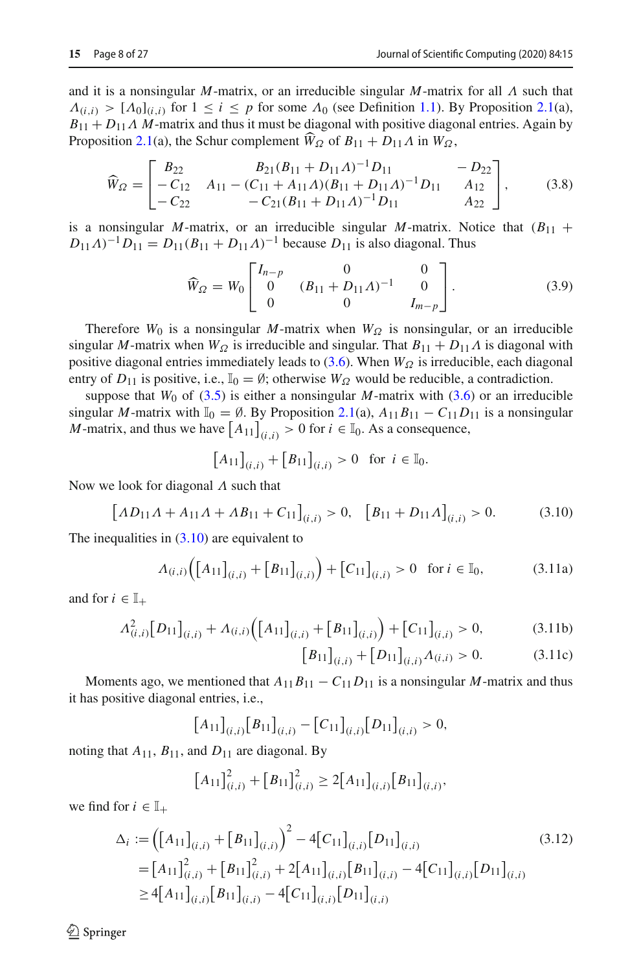and it is a nonsingular *M*-matrix, or an irreducible singular *M*-matrix for all Λ such that  $\Lambda_{(i,i)} > [\Lambda_0]_{(i,i)}$  for  $1 \le i \le p$  for some  $\Lambda_0$  (see Definition [1.1\)](#page-1-7). By Proposition [2.1\(](#page-2-1)a),  $B_{11} + D_{11} \Lambda M$ -matrix and thus it must be diagonal with positive diagonal entries. Again by Proposition [2.1\(](#page-2-1)a), the Schur complement  $\widehat{W}_\Omega$  of  $B_{11} + D_{11}\Lambda$  in  $W_\Omega$ ,

$$
\widehat{W}_{\Omega} = \begin{bmatrix} B_{22} & B_{21}(B_{11} + D_{11}A)^{-1}D_{11} & -D_{22} \\ -C_{12} & A_{11} - (C_{11} + A_{11}A)(B_{11} + D_{11}A)^{-1}D_{11} & A_{12} \\ -C_{22} & -C_{21}(B_{11} + D_{11}A)^{-1}D_{11} & A_{22} \end{bmatrix},
$$
\n(3.8)

is a nonsingular *M*-matrix, or an irreducible singular *M*-matrix. Notice that  $(B_{11} +$  $D_{11}$ Λ)<sup>-1</sup> $D_{11} = D_{11}(B_{11} + D_{11}$ Λ)<sup>-1</sup> because  $D_{11}$  is also diagonal. Thus

<span id="page-7-1"></span>
$$
\widehat{W}_{\Omega} = W_0 \begin{bmatrix} I_{n-p} & 0 & 0 \\ 0 & (B_{11} + D_{11} \Lambda)^{-1} & 0 \\ 0 & 0 & I_{m-p} \end{bmatrix} . \tag{3.9}
$$

Therefore  $W_0$  is a nonsingular *M*-matrix when  $W_{\Omega}$  is nonsingular, or an irreducible singular *M*-matrix when  $W_{\Omega}$  is irreducible and singular. That  $B_{11} + D_{11}\Lambda$  is diagonal with positive diagonal entries immediately leads to [\(3.6\)](#page-6-1). When  $W_{\Omega}$  is irreducible, each diagonal entry of  $D_{11}$  is positive, i.e.,  $\mathbb{I}_0 = \emptyset$ ; otherwise  $W_{\Omega}$  would be reducible, a contradiction.

suppose that  $W_0$  of [\(3.5\)](#page-6-2) is either a nonsingular  $M$ -matrix with [\(3.6\)](#page-6-1) or an irreducible singular *M*-matrix with  $\mathbb{I}_0 = \emptyset$ . By Proposition [2.1\(](#page-2-1)a),  $A_{11}B_{11} - C_{11}D_{11}$  is a nonsingular *M*-matrix, and thus we have  $[A_{11}]_{(i,i)} > 0$  for  $i \in \mathbb{I}_0$ . As a consequence,

$$
[A_{11}]_{(i,i)} + [B_{11}]_{(i,i)} > 0 \text{ for } i \in \mathbb{I}_0.
$$

Now we look for diagonal  $\Lambda$  such that

<span id="page-7-0"></span>
$$
\left[AD_{11}A + A_{11}A + AB_{11} + C_{11}\right]_{(i,i)} > 0, \quad \left[B_{11} + D_{11}A\right]_{(i,i)} > 0. \tag{3.10}
$$

The inequalities in  $(3.10)$  are equivalent to

$$
\Lambda_{(i,i)}\Big(\big[A_{11}\big]_{(i,i)} + \big[B_{11}\big]_{(i,i)}\Big) + \big[C_{11}\big]_{(i,i)} > 0 \quad \text{for } i \in \mathbb{I}_0,\tag{3.11a}
$$

and for  $i \in \mathbb{I}_+$ 

$$
A_{(i,i)}^2[D_{11}]_{(i,i)} + A_{(i,i)}([A_{11}]_{(i,i)} + [B_{11}]_{(i,i)}) + [C_{11}]_{(i,i)} > 0,
$$
\n(3.11b)  
\n
$$
[B_{11}]_{(i,i)} + [D_{11}]_{(i,i)} A_{(i,i)} > 0.
$$
\n(3.11c)

<span id="page-7-2"></span>
$$
B_{11}\big|_{(i,i)} + [D_{11}\big|_{(i,i)} \Lambda_{(i,i)} > 0. \tag{3.11c}
$$

Moments ago, we mentioned that  $A_{11}B_{11} - C_{11}D_{11}$  is a nonsingular *M*-matrix and thus it has positive diagonal entries, i.e.,

$$
[A_{11}]_{(i,i)} [B_{11}]_{(i,i)} - [C_{11}]_{(i,i)} [D_{11}]_{(i,i)} > 0,
$$

noting that  $A_{11}$ ,  $B_{11}$ , and  $D_{11}$  are diagonal. By

$$
\left[A_{11}\right]_{(i,i)}^2 + \left[B_{11}\right]_{(i,i)}^2 \ge 2\left[A_{11}\right]_{(i,i)}\left[B_{11}\right]_{(i,i)},
$$

we find for  $i \in \mathbb{I}_+$ 

$$
\Delta_{i} := \left( [A_{11}]_{(i,i)} + [B_{11}]_{(i,i)} \right)^{2} - 4[C_{11}]_{(i,i)} [D_{11}]_{(i,i)}
$$
\n
$$
= [A_{11}]_{(i,i)}^{2} + [B_{11}]_{(i,i)}^{2} + 2[A_{11}]_{(i,i)} [B_{11}]_{(i,i)} - 4[C_{11}]_{(i,i)} [D_{11}]_{(i,i)}
$$
\n
$$
\geq 4[A_{11}]_{(i,i)} [B_{11}]_{(i,i)} - 4[C_{11}]_{(i,i)} [D_{11}]_{(i,i)}
$$
\n(3.12)

 $\mathcal{L}$  Springer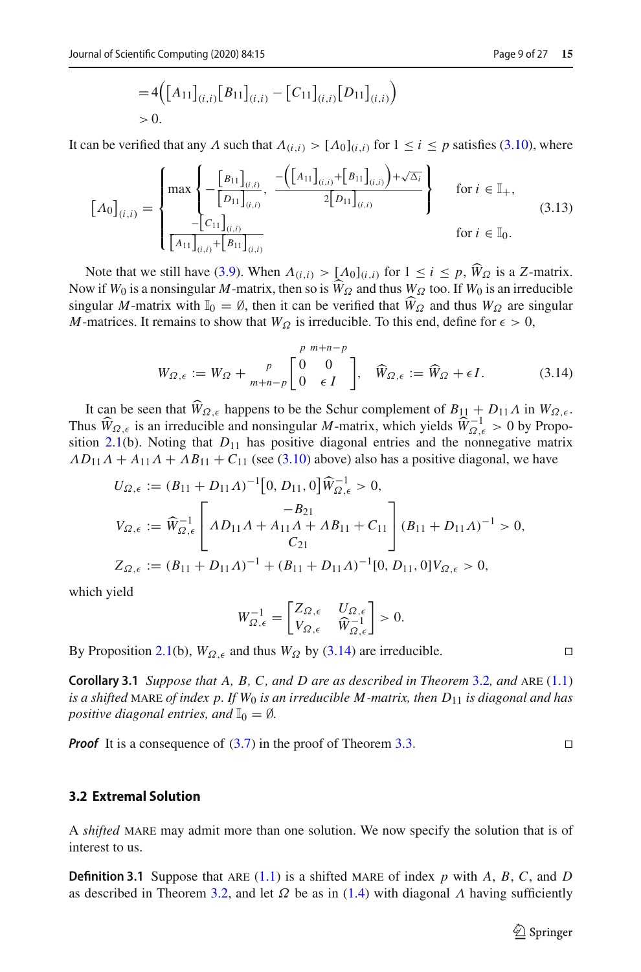<span id="page-8-0"></span>
$$
=4\Big(\big[A_{11}\big]_{(i,i)}\big[B_{11}\big]_{(i,i)}-\big[C_{11}\big]_{(i,i)}\big[D_{11}\big]_{(i,i)}\Big)\\>0.
$$

It can be verified that any  $\Lambda$  such that  $\Lambda_{(i,i)} > [\Lambda_0]_{(i,i)}$  for  $1 \le i \le p$  satisfies [\(3.10\)](#page-7-0), where

$$
\left[A_0\right]_{(i,i)} = \begin{cases} \max\left\{ -\frac{\left[B_{11}\right]_{(i,i)}}{\left[D_{11}\right]_{(i,i)}}, \frac{-\left(\left[A_{11}\right]_{(i,i)} + \left[B_{11}\right]_{(i,i)}\right) + \sqrt{\Delta_i}}{2\left[D_{11}\right]_{(i,i)}}\right\} & \text{for } i \in \mathbb{I}_+,\\ \frac{-\left[C_{11}\right]_{(i,i)}}{\left[A_{11}\right]_{(i,i)} + \left[B_{11}\right]_{(i,i)}} & \text{for } i \in \mathbb{I}_0. \end{cases}
$$
(3.13)

Note that we still have [\(3.9\)](#page-7-1). When  $\Lambda_{(i,i)} > [\Lambda_0]_{(i,i)}$  for  $1 \le i \le p$ ,  $\widehat{W}_{\Omega}$  is a *Z*-matrix. Now if  $W_0$  is a nonsingular *M*-matrix, then so is  $\widehat{W}_{\Omega}$  and thus  $W_{\Omega}$  too. If  $W_0$  is an irreducible singular *M*-matrix with  $\mathbb{I}_0 = \emptyset$ , then it can be verified that  $\hat{W}_{\Omega}$  and thus  $W_{\Omega}$  are singular *M*-matrices. It remains to show that  $W_{\Omega}$  is irreducible. To this end, define for  $\epsilon > 0$ ,

<span id="page-8-1"></span>
$$
W_{\Omega,\epsilon} := W_{\Omega} + \frac{p}{m+n-p} \begin{bmatrix} p & m+n-p \\ 0 & 0 \\ 0 & \epsilon I \end{bmatrix}, \quad \widehat{W}_{\Omega,\epsilon} := \widehat{W}_{\Omega} + \epsilon I. \tag{3.14}
$$

It can be seen that  $\widehat{W}_{\Omega,\epsilon}$  happens to be the Schur complement of  $B_{11} + D_{11}\Lambda$  in  $W_{\Omega,\epsilon}$ . Thus  $\widehat{W}_{\Omega,\epsilon}$  is an irreducible and nonsingular *M*-matrix, which yields  $\widehat{W}_{\Omega,\epsilon}^{-1} > 0$  by Propo-<br>
sition 2.1(b). Noting that  $D$ , has positive diagonal entries and the nonparative matrix sition [2.1\(](#page-2-1)b). Noting that  $D_{11}$  has positive diagonal entries and the nonnegative matrix  $AD_{11}A + A_{11}A + AB_{11} + C_{11}$  (see [\(3.10\)](#page-7-0) above) also has a positive diagonal, we have

$$
U_{\Omega,\epsilon} := (B_{11} + D_{11}A)^{-1} [0, D_{11}, 0] \widehat{W}_{\Omega,\epsilon}^{-1} > 0,
$$
  
\n
$$
V_{\Omega,\epsilon} := \widehat{W}_{\Omega,\epsilon}^{-1} \left[ AD_{11}A + A_{11}A + AB_{11} + C_{11} \right] (B_{11} + D_{11}A)^{-1} > 0,
$$
  
\n
$$
Z_{\Omega,\epsilon} := (B_{11} + D_{11}A)^{-1} + (B_{11} + D_{11}A)^{-1} [0, D_{11}, 0] V_{\Omega,\epsilon} > 0,
$$

which yield

$$
W_{\Omega,\epsilon}^{-1} = \begin{bmatrix} Z_{\Omega,\epsilon} & U_{\Omega,\epsilon} \\ V_{\Omega,\epsilon} & \widehat{W}_{\Omega,\epsilon}^{-1} \end{bmatrix} > 0.
$$

By Proposition [2.1\(](#page-2-1)b),  $W_{\Omega, \epsilon}$  and thus  $W_{\Omega}$  by [\(3.14\)](#page-8-1) are irreducible.

**Corollary 3.1** *Suppose that A, B, C, and D are as described in Theorem [3.2](#page-6-0), and ARE [\(1.1\)](#page-0-0) is a shifted* MARE *of index p. If*  $W_0$  *is an irreducible M-matrix, then*  $D_{11}$  *is diagonal and has positive diagonal entries, and*  $\mathbb{I}_0 = \emptyset$ *.* 

*Proof* It is a consequence of [\(3.7\)](#page-6-3) in the proof of Theorem [3.3.](#page-6-4)

#### **3.2 Extremal Solution**

<span id="page-8-2"></span>A *shifted* mare may admit more than one solution. We now specify the solution that is of interest to us.

**Definition 3.1** Suppose that ARE [\(1.1\)](#page-0-0) is a shifted MARE of index  $p$  with  $A$ ,  $B$ ,  $C$ , and  $D$ as described in Theorem [3.2,](#page-6-0) and let  $\Omega$  be as in [\(1.4\)](#page-1-3) with diagonal  $\Lambda$  having sufficiently

 $\Box$ 

 $\Box$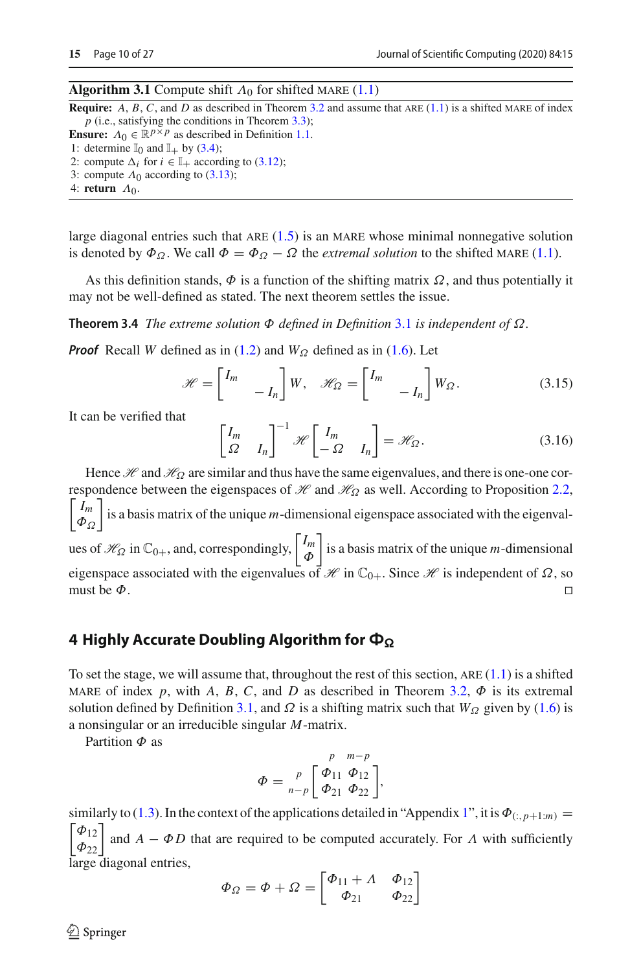#### <span id="page-9-1"></span>**Algorithm 3.1** Compute shift  $\Lambda_0$  for shifted MARE [\(1.1\)](#page-0-0)

**Require:**  $A, B, C$ , and  $D$  as described in Theorem [3.2](#page-6-0) and assume that ARE  $(1.1)$  is a shifted MARE of index *p* (i.e., satisfying the conditions in Theorem [3.3\)](#page-6-4);

**Ensure:**  $\Lambda_0 \in \mathbb{R}^{p \times p}$  as described in Definition [1.1.](#page-1-7)

1: determine  $\mathbb{I}_0$  and  $\mathbb{I}_+$  by [\(3.4\)](#page-6-5);

- 2: compute  $\Delta_i$  for  $i \in \mathbb{I}_+$  according to [\(3.12\)](#page-7-2);
- 3: compute  $\Lambda_0$  according to [\(3.13\)](#page-8-0);

4: **return** Λ0.

large diagonal entries such that ARE  $(1.5)$  is an MARE whose minimal nonnegative solution is denoted by  $\Phi_{\Omega}$ . We call  $\Phi = \Phi_{\Omega} - \Omega$  the *extremal solution* to the shifted MARE [\(1.1\)](#page-0-0).

As this definition stands,  $\Phi$  is a function of the shifting matrix  $\Omega$ , and thus potentially it may not be well-defined as stated. The next theorem settles the issue.

**Theorem 3.4** *The extreme solution* Φ *defined in Definition* [3.1](#page-8-2) *is independent of* Ω*.*

*Proof* Recall *W* defined as in [\(1.2\)](#page-1-4) and  $W_{\Omega}$  defined as in [\(1.6\)](#page-1-5). Let

$$
\mathcal{H} = \begin{bmatrix} I_m & & \\ & -I_n \end{bmatrix} W, \quad \mathcal{H}_{\Omega} = \begin{bmatrix} I_m & & \\ & -I_n \end{bmatrix} W_{\Omega}. \tag{3.15}
$$

It can be verified that

$$
\begin{bmatrix} I_m & 1 \ \Omega & I_n \end{bmatrix}^{-1} \mathcal{H} \begin{bmatrix} I_m & 1 \ -\Omega & I_n \end{bmatrix} = \mathcal{H}_{\Omega}.
$$
 (3.16)

Hence *H* and *H*<sub>Ω</sub> are similar and thus have the same eigenvalues, and there is one-one correspondence between the eigenspaces of *H* and *H*<sup>Ω</sup> as well. According to Proposition [2.2,](#page-4-2)  $\overline{ }$ *Im*  $|\phi_{\Omega}|$  $\overline{\phantom{a}}$ is a basis matrix of the unique *m*-dimensional eigenspace associated with the eigenvalues of  $\mathcal{H}_{\Omega}$  in  $\mathbb{C}_{0+}$ , and, correspondingly,  $\begin{bmatrix} I_m \\ \Phi \end{bmatrix}$ Φ is a basis matrix of the unique *m*-dimensional eigenspace associated with the eigenvalues of  $\mathcal{H}$  in  $\mathbb{C}_{0+}$ . Since  $\mathcal{H}$  is independent of  $\Omega$ , so must be  $\Phi$ . must be  $\Phi$ .  $\Box$ 

#### <span id="page-9-0"></span>**4 Highly Accurate Doubling Algorithm for Φ**<sub>Ω</sub>

To set the stage, we will assume that, throughout the rest of this section,  $ARE(1.1)$  $ARE(1.1)$  is a shifted MARE of index p, with A, B, C, and D as described in Theorem [3.2,](#page-6-0)  $\Phi$  is its extremal solution defined by Definition [3.1,](#page-8-2) and  $\Omega$  is a shifting matrix such that  $W_{\Omega}$  given by [\(1.6\)](#page-1-5) is a nonsingular or an irreducible singular *M*-matrix.

Partition  $\Phi$  as

$$
\Phi = \sum_{n-p}^{p} \begin{bmatrix} \phi_{11} & \phi_{12} \\ \phi_{21} & \phi_{22} \end{bmatrix},
$$

similarly to [\(1.3\)](#page-1-6). In the context of the applications detailed in "Appendix [1"](#page-21-0), it is  $\Phi_{(:,p+1:m)} =$  $\Phi_{12}$  $\left[ \begin{matrix} \Phi_{12} \ \Phi_{22} \end{matrix} \right]$ and  $A - \Phi D$  that are required to be computed accurately. For  $\Lambda$  with sufficiently large diagonal entries,

$$
\Phi_{\Omega} = \Phi + \Omega = \begin{bmatrix} \Phi_{11} + \Lambda & \Phi_{12} \\ \Phi_{21} & \Phi_{22} \end{bmatrix}
$$

 $\circledcirc$  Springer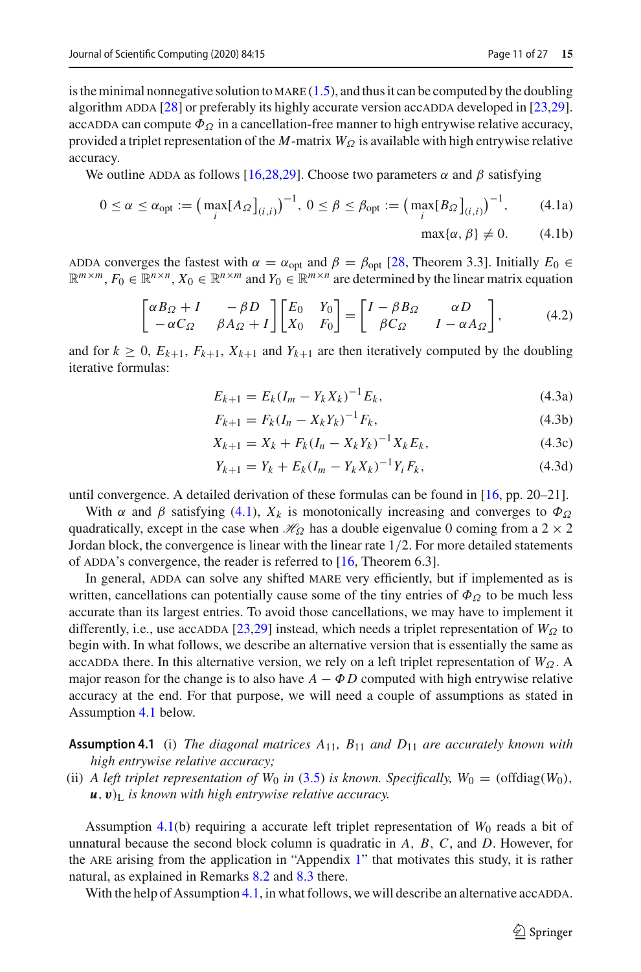is the minimal nonnegative solution to MARE  $(1.5)$ , and thus it can be computed by the doubling algorithm ADDA  $[28]$  $[28]$  or preferably its highly accurate version accADDA developed in  $[23,29]$  $[23,29]$ . accadda can compute  $\Phi_{\Omega}$  in a cancellation-free manner to high entrywise relative accuracy, provided a triplet representation of the *M*-matrix  $W_{\Omega}$  is available with high entrywise relative accuracy.

We outline ADDA as follows [\[16](#page-26-15)[,28](#page-26-11)[,29](#page-26-13)]. Choose two parameters  $\alpha$  and  $\beta$  satisfying

$$
0 \le \alpha \le \alpha_{\text{opt}} := \left(\max_{i} \left[A_{\Omega}\right]_{(i,i)}\right)^{-1}, \ 0 \le \beta \le \beta_{\text{opt}} := \left(\max_{i} \left[B_{\Omega}\right]_{(i,i)}\right)^{-1},\tag{4.1a}
$$

<span id="page-10-0"></span>
$$
\max\{\alpha,\,\beta\} \neq 0.\tag{4.1b}
$$

ADDA converges the fastest with  $\alpha = \alpha_{opt}$  and  $\beta = \beta_{opt}$  [\[28,](#page-26-11) Theorem 3.3]. Initially  $E_0 \in$  $\mathbb{R}^{m \times m}$ ,  $F_0 \in \mathbb{R}^{n \times n}$ ,  $X_0 \in \mathbb{R}^{n \times m}$  and  $Y_0 \in \mathbb{R}^{m \times n}$  are determined by the linear matrix equation

<span id="page-10-3"></span><span id="page-10-2"></span>
$$
\begin{bmatrix} \alpha B_{\Omega} + I & -\beta D \\ -\alpha C_{\Omega} & \beta A_{\Omega} + I \end{bmatrix} \begin{bmatrix} E_0 & Y_0 \\ X_0 & F_0 \end{bmatrix} = \begin{bmatrix} I - \beta B_{\Omega} & \alpha D \\ \beta C_{\Omega} & I - \alpha A_{\Omega} \end{bmatrix},
$$
(4.2)

and for  $k \geq 0$ ,  $E_{k+1}$ ,  $F_{k+1}$ ,  $X_{k+1}$  and  $Y_{k+1}$  are then iteratively computed by the doubling iterative formulas:

$$
E_{k+1} = E_k (I_m - Y_k X_k)^{-1} E_k, \tag{4.3a}
$$

$$
F_{k+1} = F_k (I_n - X_k Y_k)^{-1} F_k,
$$
\n(4.3b)

$$
X_{k+1} = X_k + F_k(I_n - X_k Y_k)^{-1} X_k E_k, \tag{4.3c}
$$

$$
Y_{k+1} = Y_k + E_k (I_m - Y_k X_k)^{-1} Y_i F_k, \qquad (4.3d)
$$

until convergence. A detailed derivation of these formulas can be found in [\[16](#page-26-15), pp. 20–21].

With  $\alpha$  and  $\beta$  satisfying [\(4.1\)](#page-10-0),  $X_k$  is monotonically increasing and converges to  $\Phi_{\Omega}$ quadratically, except in the case when  $\mathcal{H}_{\Omega}$  has a double eigenvalue 0 coming from a 2 × 2 Jordan block, the convergence is linear with the linear rate 1/2. For more detailed statements of ADDA's convergence, the reader is referred to  $[16,$  $[16,$  Theorem 6.3].

In general, ADDA can solve any shifted MARE very efficiently, but if implemented as is written, cancellations can potentially cause some of the tiny entries of  $\Phi_{\Omega}$  to be much less accurate than its largest entries. To avoid those cancellations, we may have to implement it differently, i.e., use accadda [\[23](#page-26-12)[,29\]](#page-26-13) instead, which needs a triplet representation of  $W_{\Omega}$  to begin with. In what follows, we describe an alternative version that is essentially the same as accadda there. In this alternative version, we rely on a left triplet representation of  $W_{\Omega}$ . A major reason for the change is to also have  $A - \Phi D$  computed with high entrywise relative accuracy at the end. For that purpose, we will need a couple of assumptions as stated in Assumption [4.1](#page-10-1) below.

<span id="page-10-1"></span>**Assumption 4.1** (i) *The diagonal matrices A*11*, B*<sup>11</sup> *and D*<sup>11</sup> *are accurately known with high entrywise relative accuracy;*

(ii) *A left triplet representation of*  $W_0$  *in* [\(3.5\)](#page-6-2) *is known. Specifically,*  $W_0 = (\text{offdiag}(W_0),$  $u, v$ <sup>L</sup> *is known with high entrywise relative accuracy.* 

Assumption [4.1\(](#page-10-1)b) requiring a accurate left triplet representation of  $W_0$  reads a bit of unnatural because the second block column is quadratic in *A*, *B*, *C*, and *D*. However, for the ARE arising from the application in "Appendix  $1$ " that motivates this study, it is rather natural, as explained in Remarks [8.2](#page-24-0) and [8.3](#page-25-4) there.

With the help of Assumption [4.1,](#page-10-1) in what follows, we will describe an alternative accade.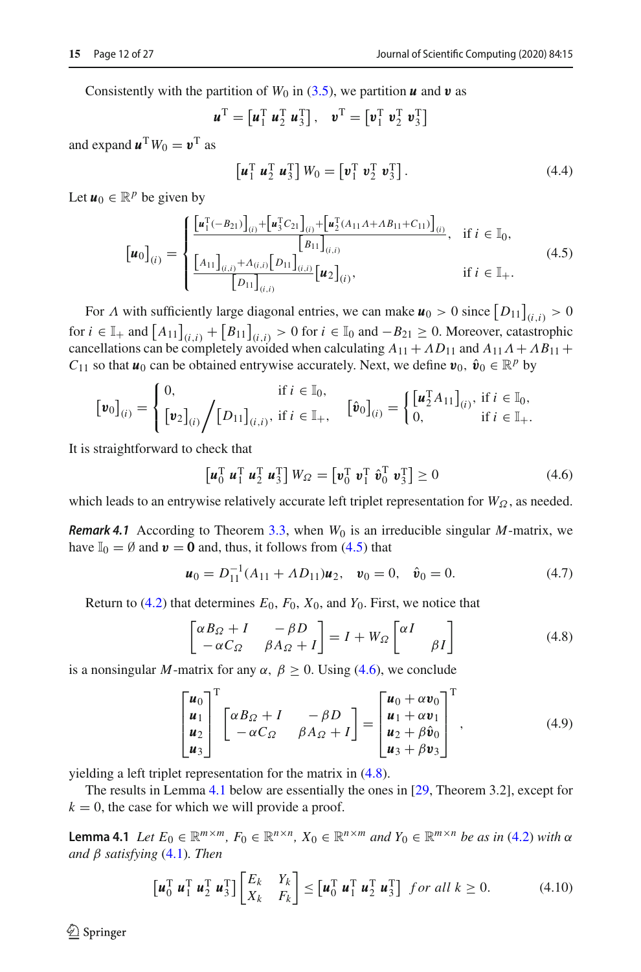Consistently with the partition of  $W_0$  in [\(3.5\)](#page-6-2), we partition  $\boldsymbol{u}$  and  $\boldsymbol{v}$  as

$$
\boldsymbol{u}^{\mathrm{T}} = \begin{bmatrix} \boldsymbol{u}_1^{\mathrm{T}} \ \boldsymbol{u}_2^{\mathrm{T}} \ \boldsymbol{u}_3^{\mathrm{T}} \end{bmatrix}, \quad \boldsymbol{v}^{\mathrm{T}} = \begin{bmatrix} \boldsymbol{v}_1^{\mathrm{T}} \ \boldsymbol{v}_2^{\mathrm{T}} \ \boldsymbol{v}_3^{\mathrm{T}} \end{bmatrix}
$$

and expand  $\mathbf{u}^T W_0 = \mathbf{v}^T$  as

<span id="page-11-6"></span>
$$
\left[\boldsymbol{u}_1^{\mathrm{T}} \ \boldsymbol{u}_2^{\mathrm{T}} \ \boldsymbol{u}_3^{\mathrm{T}}\right] W_0 = \left[\boldsymbol{v}_1^{\mathrm{T}} \ \boldsymbol{v}_2^{\mathrm{T}} \ \boldsymbol{v}_3^{\mathrm{T}}\right].\tag{4.4}
$$

Let  $u_0 \in \mathbb{R}^p$  be given by

<span id="page-11-0"></span>
$$
\begin{bmatrix} \boldsymbol{u}_{0} \end{bmatrix}_{(i)} = \begin{cases} \frac{\begin{bmatrix} \boldsymbol{u}_{1}^{T}(-B_{21}) \end{bmatrix}_{(i)} + \begin{bmatrix} \boldsymbol{u}_{3}^{T}C_{21} \end{bmatrix}_{(i)} + \begin{bmatrix} \boldsymbol{u}_{2}^{T}(A_{11}A + AB_{11} + C_{11}) \end{bmatrix}_{(i)}}{\begin{bmatrix} B_{11} \end{bmatrix}_{(i,i)}} & \text{if } i \in \mathbb{I}_{0}, \\ \frac{\begin{bmatrix} A_{11} \end{bmatrix}_{(i,i)} + A_{(i,i)} \begin{bmatrix} D_{11} \end{bmatrix}_{(i,i)}}{\begin{bmatrix} D_{11} \end{bmatrix}_{(i,i)}} \begin{bmatrix} \boldsymbol{u}_{2} \end{bmatrix}_{(i)}, & \text{if } i \in \mathbb{I}_{+}. \end{cases}
$$
\n(4.5)

For  $\Lambda$  with sufficiently large diagonal entries, we can make  $\mathbf{u}_0 > 0$  since  $[D_{11}]_{(i,i)} > 0$ for  $i \in \mathbb{I}_+$  and  $[A_{11}]_{(i,i)} + [B_{11}]_{(i,i)} > 0$  for  $i \in \mathbb{I}_0$  and  $-B_{21} \ge 0$ . Moreover, catastrophic cancellations can be completely avoided when calculating  $A_{11} + AD_{11}$  and  $A_{11}A + AB_{11} +$ *C*<sub>11</sub> so that *u*<sub>0</sub> can be obtained entrywise accurately. Next, we define  $v_0$ ,  $\hat{v}_0 \in \mathbb{R}^p$  by

$$
\begin{aligned}\n\left[\boldsymbol{v}_0\right]_{(i)} &= \begin{cases}\n0, & \text{if } i \in \mathbb{I}_0, \\
\left[\boldsymbol{v}_2\right]_{(i)} \bigg/ \big[D_{11}\big]_{(i,i)}, & \text{if } i \in \mathbb{I}_+, \\
\end{cases}\n\begin{bmatrix}\n\hat{\boldsymbol{v}}_0\n\end{bmatrix}_{(i)} &= \begin{cases}\n\left[\boldsymbol{u}_2^T A_{11}\right]_{(i)}, & \text{if } i \in \mathbb{I}_0, \\
0, & \text{if } i \in \mathbb{I}_+\n\end{cases}\n\end{aligned}
$$

It is straightforward to check that

<span id="page-11-1"></span>
$$
\begin{bmatrix} \boldsymbol{u}_0^{\mathrm{T}} & \boldsymbol{u}_1^{\mathrm{T}} & \boldsymbol{u}_2^{\mathrm{T}} \end{bmatrix} W_{\Omega} = \begin{bmatrix} \boldsymbol{v}_0^{\mathrm{T}} & \boldsymbol{v}_1^{\mathrm{T}} & \hat{\boldsymbol{v}}_0^{\mathrm{T}} & \boldsymbol{v}_3^{\mathrm{T}} \end{bmatrix} \ge 0 \tag{4.6}
$$

which leads to an entrywise relatively accurate left triplet representation for  $W_Q$ , as needed.

*Remark 4.1* According to Theorem [3.3,](#page-6-4) when  $W_0$  is an irreducible singular *M*-matrix, we have  $\mathbb{I}_0 = \emptyset$  and  $\mathbf{v} = \mathbf{0}$  and, thus, it follows from [\(4.5\)](#page-11-0) that

<span id="page-11-5"></span>
$$
\mathbf{u}_0 = D_{11}^{-1}(A_{11} + \Lambda D_{11})\mathbf{u}_2, \quad \mathbf{v}_0 = 0, \quad \hat{\mathbf{v}}_0 = 0.
$$
 (4.7)

Return to  $(4.2)$  that determines  $E_0$ ,  $F_0$ ,  $X_0$ , and  $Y_0$ . First, we notice that

<span id="page-11-2"></span>
$$
\begin{bmatrix} \alpha B_{\Omega} + I & -\beta D \\ -\alpha C_{\Omega} & \beta A_{\Omega} + I \end{bmatrix} = I + W_{\Omega} \begin{bmatrix} \alpha I & \\ & \beta I \end{bmatrix}
$$
 (4.8)

is a nonsingular *M*-matrix for any  $\alpha$ ,  $\beta \ge 0$ . Using [\(4.6\)](#page-11-1), we conclude

<span id="page-11-7"></span>
$$
\begin{bmatrix} \boldsymbol{u}_0 \\ \boldsymbol{u}_1 \\ \boldsymbol{u}_2 \\ \boldsymbol{u}_3 \end{bmatrix}^{\mathrm{T}} \begin{bmatrix} \alpha B_{\Omega} + I & -\beta D \\ -\alpha C_{\Omega} & \beta A_{\Omega} + I \end{bmatrix} = \begin{bmatrix} \boldsymbol{u}_0 + \alpha \boldsymbol{v}_0 \\ \boldsymbol{u}_1 + \alpha \boldsymbol{v}_1 \\ \boldsymbol{u}_2 + \beta \hat{\boldsymbol{v}}_0 \\ \boldsymbol{u}_3 + \beta \boldsymbol{v}_3 \end{bmatrix}^{\mathrm{T}}, \qquad (4.9)
$$

yielding a left triplet representation for the matrix in [\(4.8\)](#page-11-2).

<span id="page-11-3"></span>The results in Lemma [4.1](#page-11-3) below are essentially the ones in [\[29](#page-26-13), Theorem 3.2], except for  $k = 0$ , the case for which we will provide a proof.

**Lemma 4.1** *Let*  $E_0 \in \mathbb{R}^{m \times m}$ ,  $F_0 \in \mathbb{R}^{n \times n}$ ,  $X_0 \in \mathbb{R}^{n \times m}$  *and*  $Y_0 \in \mathbb{R}^{m \times n}$  *be as in* [\(4.2\)](#page-10-2) *with*  $\alpha$ *and* β *satisfying* [\(4.1\)](#page-10-0)*. Then*

<span id="page-11-4"></span>
$$
\begin{bmatrix} \boldsymbol{u}_0^{\mathrm{T}} & \boldsymbol{u}_1^{\mathrm{T}} & \boldsymbol{u}_2^{\mathrm{T}} \end{bmatrix} \begin{bmatrix} E_k & Y_k \\ X_k & F_k \end{bmatrix} \leq \begin{bmatrix} \boldsymbol{u}_0^{\mathrm{T}} & \boldsymbol{u}_1^{\mathrm{T}} & \boldsymbol{u}_2^{\mathrm{T}} & \boldsymbol{u}_3^{\mathrm{T}} \end{bmatrix} \quad \text{for all } k \ge 0. \tag{4.10}
$$

 $\mathcal{L}$  Springer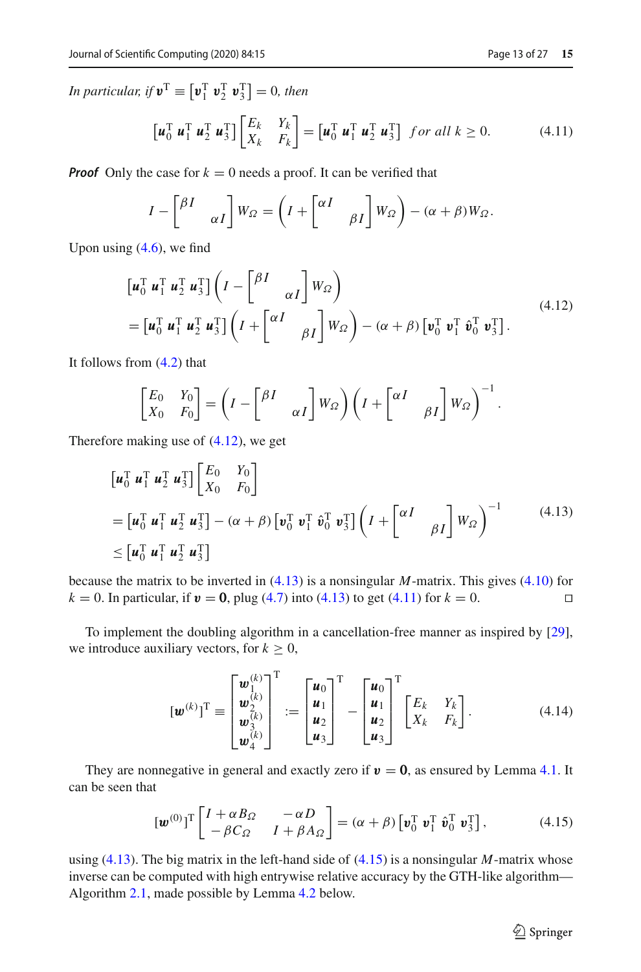<span id="page-12-2"></span>
$$
\begin{bmatrix} \boldsymbol{u}_0^{\mathrm{T}} \ \boldsymbol{u}_1^{\mathrm{T}} \ \boldsymbol{u}_2^{\mathrm{T}} \ \boldsymbol{u}_3^{\mathrm{T}} \end{bmatrix} \begin{bmatrix} E_k & Y_k \\ X_k & F_k \end{bmatrix} = \begin{bmatrix} \boldsymbol{u}_0^{\mathrm{T}} \ \boldsymbol{u}_1^{\mathrm{T}} \ \boldsymbol{u}_2^{\mathrm{T}} \ \boldsymbol{u}_3^{\mathrm{T}} \end{bmatrix} \ \text{for all } k \ge 0. \tag{4.11}
$$

*Proof* Only the case for  $k = 0$  needs a proof. It can be verified that

$$
I - \begin{bmatrix} \beta I & \ A & I \end{bmatrix} W_{\Omega} = \left( I + \begin{bmatrix} \alpha I & \ \beta I \end{bmatrix} W_{\Omega} \right) - (\alpha + \beta) W_{\Omega}.
$$

Upon using  $(4.6)$ , we find

<span id="page-12-0"></span>
$$
\begin{aligned}\n\left[\boldsymbol{u}_0^{\mathrm{T}} \boldsymbol{u}_1^{\mathrm{T}} \boldsymbol{u}_2^{\mathrm{T}} \boldsymbol{u}_3^{\mathrm{T}}\right] \left(I - \begin{bmatrix} \beta I & \ \alpha I \end{bmatrix} W_{\Omega}\right) \\
= \left[\boldsymbol{u}_0^{\mathrm{T}} \boldsymbol{u}_1^{\mathrm{T}} \boldsymbol{u}_2^{\mathrm{T}} \boldsymbol{u}_3^{\mathrm{T}}\right] \left(I + \begin{bmatrix} \alpha I & \ \beta I \end{bmatrix} W_{\Omega}\right) - (\alpha + \beta) \left[\boldsymbol{v}_0^{\mathrm{T}} \boldsymbol{v}_1^{\mathrm{T}} \hat{\boldsymbol{v}}_0^{\mathrm{T}} \boldsymbol{v}_3^{\mathrm{T}}\right].\n\end{aligned} \tag{4.12}
$$

It follows from [\(4.2\)](#page-10-2) that

<span id="page-12-1"></span>
$$
\begin{bmatrix} E_0 & Y_0 \ X_0 & F_0 \end{bmatrix} = \left( I - \begin{bmatrix} \beta I & \\ & \alpha I \end{bmatrix} W_{\Omega} \right) \left( I + \begin{bmatrix} \alpha I & \\ & \beta I \end{bmatrix} W_{\Omega} \right)^{-1}.
$$

Therefore making use of [\(4.12\)](#page-12-0), we get

$$
\begin{aligned}\n\left[\mathbf{u}_0^{\mathrm{T}} \mathbf{u}_1^{\mathrm{T}} \mathbf{u}_2^{\mathrm{T}} \mathbf{u}_3^{\mathrm{T}}\right] \begin{bmatrix} E_0 & Y_0 \\
X_0 & F_0 \end{bmatrix} \\
&= \left[\mathbf{u}_0^{\mathrm{T}} \mathbf{u}_1^{\mathrm{T}} \mathbf{u}_2^{\mathrm{T}} \mathbf{u}_3^{\mathrm{T}}\right] - (\alpha + \beta) \left[\mathbf{v}_0^{\mathrm{T}} \mathbf{v}_1^{\mathrm{T}} \hat{\mathbf{v}}_0^{\mathrm{T}} \mathbf{v}_3^{\mathrm{T}}\right] \left(I + \begin{bmatrix} \alpha I & \\ & \beta I \end{bmatrix} W_\Omega\right)^{-1} \tag{4.13} \\
&\leq \left[\mathbf{u}_0^{\mathrm{T}} \mathbf{u}_1^{\mathrm{T}} \mathbf{u}_2^{\mathrm{T}} \mathbf{u}_3^{\mathrm{T}}\right]\n\end{aligned}
$$

because the matrix to be inverted in [\(4.13\)](#page-12-1) is a nonsingular *M*-matrix. This gives [\(4.10\)](#page-11-4) for  $k = 0$ . In particular, if  $v = 0$ , plug [\(4.7\)](#page-11-5) into [\(4.13\)](#page-12-1) to get [\(4.11\)](#page-12-2) for  $k = 0$ .  $\Box$ 

To implement the doubling algorithm in a cancellation-free manner as inspired by [\[29\]](#page-26-13), we introduce auxiliary vectors, for  $k \geq 0$ ,

<span id="page-12-4"></span>
$$
\begin{aligned}\n[\mathbf{w}^{(k)}]^\mathrm{T} & \equiv \begin{bmatrix} \mathbf{w}_{1k}^{(k)} \\ \mathbf{w}_{2k}^{(k)} \\ \mathbf{w}_{3k}^{(k)} \end{bmatrix}^\mathrm{T} := \begin{bmatrix} \mathbf{u}_{0} \\ \mathbf{u}_{1} \\ \mathbf{u}_{2} \\ \mathbf{u}_{3} \end{bmatrix}^\mathrm{T} - \begin{bmatrix} \mathbf{u}_{0} \\ \mathbf{u}_{1} \\ \mathbf{u}_{2} \\ \mathbf{u}_{3} \end{bmatrix}^\mathrm{T} \begin{bmatrix} E_k & Y_k \\ X_k & F_k \end{bmatrix}.\n\end{aligned} \tag{4.14}
$$

They are nonnegative in general and exactly zero if  $v = 0$ , as ensured by Lemma [4.1.](#page-11-3) It can be seen that

<span id="page-12-3"></span>
$$
\left[\boldsymbol{w}^{(0)}\right]^{\mathrm{T}}\begin{bmatrix} I + \alpha B_{\Omega} & -\alpha D \\ -\beta C_{\Omega} & I + \beta A_{\Omega} \end{bmatrix} = \left(\alpha + \beta\right)\begin{bmatrix} \boldsymbol{v}_{0}^{\mathrm{T}} & \boldsymbol{v}_{1}^{\mathrm{T}} & \hat{\boldsymbol{v}}_{0}^{\mathrm{T}} & \boldsymbol{v}_{3}^{\mathrm{T}} \end{bmatrix},\tag{4.15}
$$

using [\(4.13\)](#page-12-1). The big matrix in the left-hand side of [\(4.15\)](#page-12-3) is a nonsingular *M*-matrix whose inverse can be computed with high entrywise relative accuracy by the GTH-like algorithm— Algorithm [2.1,](#page-4-0) made possible by Lemma [4.2](#page-13-0) below.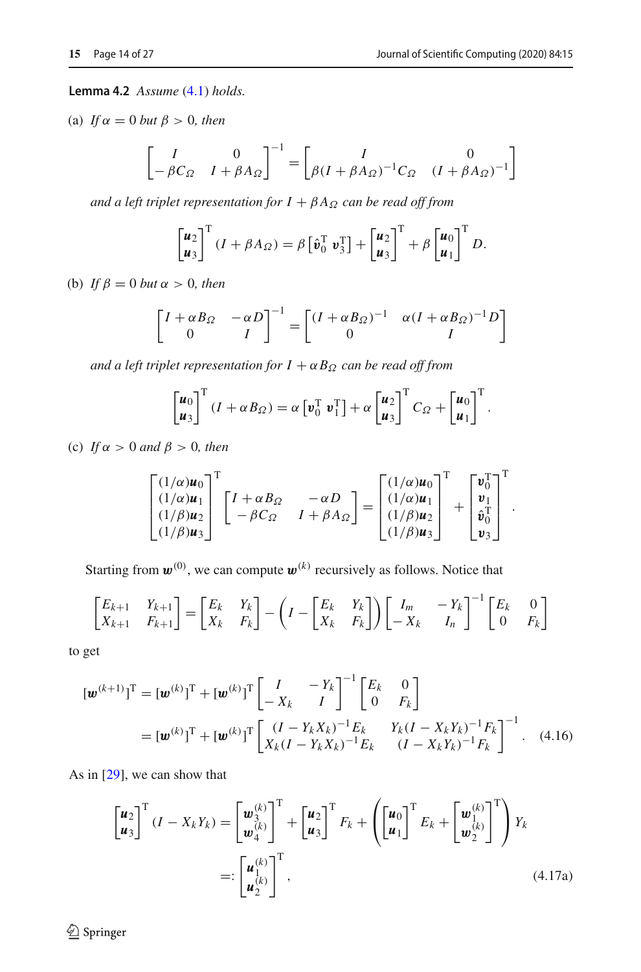<span id="page-13-0"></span>**Lemma 4.2** *Assume* [\(4.1\)](#page-10-0) *holds.*

(a) *If*  $\alpha = 0$  *but*  $\beta > 0$ *, then* 

$$
\begin{bmatrix} I & 0 \ -\beta C_{\Omega} & I + \beta A_{\Omega} \end{bmatrix}^{-1} = \begin{bmatrix} I & 0 \ \beta (I + \beta A_{\Omega})^{-1} C_{\Omega} & (I + \beta A_{\Omega})^{-1} \end{bmatrix}
$$

*and a left triplet representation for*  $I + \beta A_{\Omega}$  *can be read off from* 

$$
\begin{bmatrix} \boldsymbol{u}_2 \\ \boldsymbol{u}_3 \end{bmatrix}^{\mathrm{T}} (I + \beta A_{\Omega}) = \beta \begin{bmatrix} \hat{\boldsymbol{v}}_0^{\mathrm{T}} & \boldsymbol{v}_3^{\mathrm{T}} \end{bmatrix} + \begin{bmatrix} \boldsymbol{u}_2 \\ \boldsymbol{u}_3 \end{bmatrix}^{\mathrm{T}} + \beta \begin{bmatrix} \boldsymbol{u}_0 \\ \boldsymbol{u}_1 \end{bmatrix}^{\mathrm{T}} D.
$$

(b) *If*  $\beta = 0$  *but*  $\alpha > 0$ *, then* 

$$
\begin{bmatrix} I + \alpha B_{\Omega} & -\alpha D \\ 0 & I \end{bmatrix}^{-1} = \begin{bmatrix} (I + \alpha B_{\Omega})^{-1} & \alpha (I + \alpha B_{\Omega})^{-1} D \\ 0 & I \end{bmatrix}
$$

*and a left triplet representation for*  $I + \alpha B_{\Omega}$  *can be read off from* 

$$
\begin{bmatrix} \boldsymbol{u}_0 \\ \boldsymbol{u}_3 \end{bmatrix}^{\mathrm{T}} (I + \alpha B_{\Omega}) = \alpha \begin{bmatrix} \boldsymbol{v}_0^{\mathrm{T}} & \boldsymbol{v}_1^{\mathrm{T}} \end{bmatrix} + \alpha \begin{bmatrix} \boldsymbol{u}_2 \\ \boldsymbol{u}_3 \end{bmatrix}^{\mathrm{T}} C_{\Omega} + \begin{bmatrix} \boldsymbol{u}_0 \\ \boldsymbol{u}_1 \end{bmatrix}^{\mathrm{T}}.
$$

(c) *If*  $\alpha > 0$  *and*  $\beta > 0$ *, then* 

$$
\begin{bmatrix}\n(1/\alpha)u_0 \\
(1/\alpha)u_1 \\
(1/\beta)u_2 \\
(1/\beta)u_3\n\end{bmatrix}^T\n\begin{bmatrix}\nI + \alpha B_{\Omega} & -\alpha D \\
-\beta C_{\Omega} & I + \beta A_{\Omega}\n\end{bmatrix} =\n\begin{bmatrix}\n(1/\alpha)u_0 \\
(1/\alpha)u_1 \\
(1/\beta)u_2 \\
(1/\beta)u_3\n\end{bmatrix}^T\n+\n\begin{bmatrix}\n\mathbf{v}_0^T \\
\mathbf{v}_1 \\
\mathbf{v}_0^T \\
\mathbf{v}_3\n\end{bmatrix}^T.
$$

Starting from  $\mathbf{w}^{(0)}$ , we can compute  $\mathbf{w}^{(k)}$  recursively as follows. Notice that

$$
\begin{bmatrix} E_{k+1} & Y_{k+1} \\ X_{k+1} & F_{k+1} \end{bmatrix} = \begin{bmatrix} E_k & Y_k \\ X_k & F_k \end{bmatrix} - \left( I - \begin{bmatrix} E_k & Y_k \\ X_k & F_k \end{bmatrix} \right) \begin{bmatrix} I_m & -Y_k \\ -X_k & I_n \end{bmatrix}^{-1} \begin{bmatrix} E_k & 0 \\ 0 & F_k \end{bmatrix}
$$

to get

$$
[\mathbf{w}^{(k+1)}]^{\mathrm{T}} = [\mathbf{w}^{(k)}]^{\mathrm{T}} + [\mathbf{w}^{(k)}]^{\mathrm{T}} \begin{bmatrix} I & -Y_k \\ -X_k & I \end{bmatrix}^{-1} \begin{bmatrix} E_k & 0 \\ 0 & F_k \end{bmatrix}
$$
  
= 
$$
[\mathbf{w}^{(k)}]^{\mathrm{T}} + [\mathbf{w}^{(k)}]^{\mathrm{T}} \begin{bmatrix} (I - Y_k X_k)^{-1} E_k & Y_k (I - X_k Y_k)^{-1} F_k \\ X_k (I - Y_k X_k)^{-1} E_k & (I - X_k Y_k)^{-1} F_k \end{bmatrix}^{-1}.
$$
 (4.16)

As in [\[29](#page-26-13)], we can show that

<span id="page-13-2"></span><span id="page-13-1"></span>
$$
\begin{bmatrix} \boldsymbol{u}_2 \\ \boldsymbol{u}_3 \end{bmatrix}^{\mathrm{T}} (I - X_k Y_k) = \begin{bmatrix} \boldsymbol{w}_3^{(k)} \\ \boldsymbol{w}_4^{(k)} \end{bmatrix}^{\mathrm{T}} + \begin{bmatrix} \boldsymbol{u}_2 \\ \boldsymbol{u}_3 \end{bmatrix}^{\mathrm{T}} F_k + \left( \begin{bmatrix} \boldsymbol{u}_0 \\ \boldsymbol{u}_1 \end{bmatrix}^{\mathrm{T}} E_k + \begin{bmatrix} \boldsymbol{w}_1^{(k)} \\ \boldsymbol{w}_2^{(k)} \end{bmatrix}^{\mathrm{T}} \right) Y_k
$$
  

$$
=: \begin{bmatrix} \boldsymbol{u}_1^{(k)} \\ \boldsymbol{u}_2^{(k)} \end{bmatrix}^{\mathrm{T}}, \qquad (4.17a)
$$

 $\hat{Z}$  Springer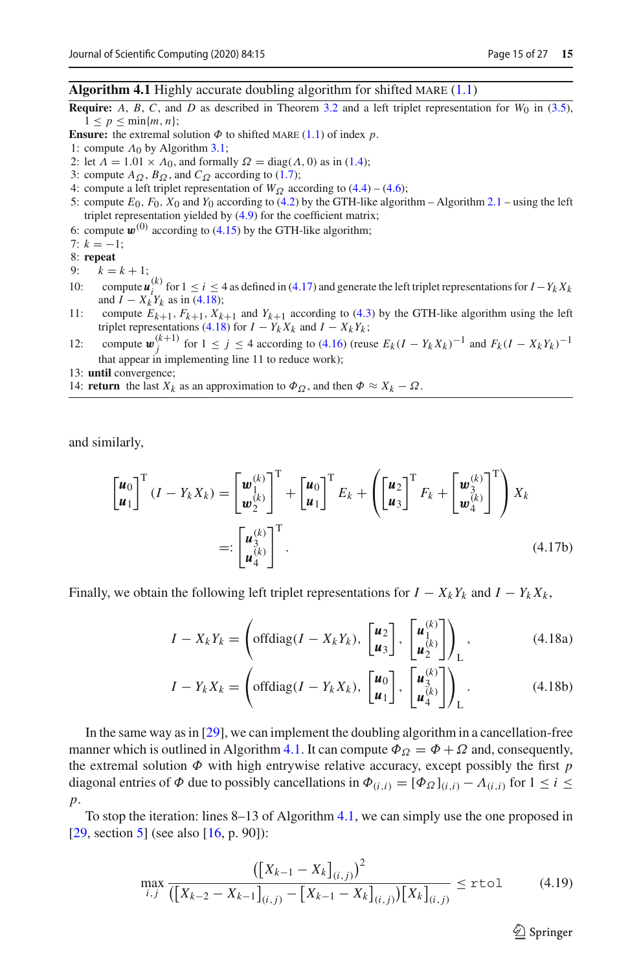#### <span id="page-14-1"></span>**Algorithm 4.1** Highly accurate doubling algorithm for shifted MARE [\(1.1\)](#page-0-0)

- **Require:** *A*, *B*, *C*, and *D* as described in Theorem [3.2](#page-6-0) and a left triplet representation for  $W_0$  in [\(3.5\)](#page-6-2),  $1 \leq p \leq \min\{m, n\};$
- **Ensure:** the extremal solution  $\Phi$  to shifted MARE [\(1.1\)](#page-0-0) of index *p*.
- 1: compute  $\Lambda_0$  by Algorithm [3.1;](#page-9-1)
- 2: let  $\overline{\Lambda} = 1.01 \times \Lambda_0$ , and formally  $\Omega = \text{diag}(\Lambda, 0)$  as in [\(1.4\)](#page-1-3);
- 3: compute  $A_{\Omega}$ ,  $B_{\Omega}$ , and  $C_{\Omega}$  according to [\(1.7\)](#page-1-8);
- 4: compute a left triplet representation of  $W_{\Omega}$  according to [\(4.4\)](#page-11-6) [\(4.6\)](#page-11-1);
- 5: compute  $E_0$ ,  $F_0$ ,  $X_0$  and  $Y_0$  according to [\(4.2\)](#page-10-2) by the GTH-like algorithm Algorithm [2.1](#page-4-0) using the left triplet representation yielded by [\(4.9\)](#page-11-7) for the coefficient matrix;
- 6: compute  $\mathbf{w}^{(0)}$  according to [\(4.15\)](#page-12-3) by the GTH-like algorithm;

7: 
$$
k = -1
$$

7: *k* = −1; 8: **repeat**

9:  $k = k + 1$ ;

- 10: compute  $\mu_k^{(k)}$  for  $1 \le i \le 4$  as defined in [\(4.17\)](#page-13-1) and generate the left triplet representations for  $I Y_k X_k$ and  $I - X_k Y_k$  as in [\(4.18\)](#page-14-0);
- 11: compute  $E_{k+1}$ ,  $F_{k+1}$ ,  $X_{k+1}$  and  $Y_{k+1}$  according to [\(4.3\)](#page-10-3) by the GTH-like algorithm using the left triplet representations [\(4.18\)](#page-14-0) for  $I - Y_k X_k$  and  $I - X_k Y_k$ ;
- 12: compute  $\mathbf{w}_j^{(k+1)}$  for 1 ≤ *j* ≤ 4 according to [\(4.16\)](#page-13-2) (reuse  $E_k(I Y_k X_k)^{-1}$  and  $F_k(I X_k Y_k)^{-1}$ that appear in implementing line 11 to reduce work);
- 13: **until** convergence;
- 14: **return** the last  $X_k$  as an approximation to  $\Phi_{\Omega}$ , and then  $\Phi \approx X_k \Omega$ .

and similarly,

$$
\begin{bmatrix} \boldsymbol{u}_0 \\ \boldsymbol{u}_1 \end{bmatrix}^{\mathrm{T}} (I - Y_k X_k) = \begin{bmatrix} \boldsymbol{w}_{1k}^{(k)} \\ \boldsymbol{w}_{2}^{(k)} \end{bmatrix}^{\mathrm{T}} + \begin{bmatrix} \boldsymbol{u}_0 \\ \boldsymbol{u}_1 \end{bmatrix}^{\mathrm{T}} E_k + \left( \begin{bmatrix} \boldsymbol{u}_2 \\ \boldsymbol{u}_3 \end{bmatrix}^{\mathrm{T}} F_k + \begin{bmatrix} \boldsymbol{w}_{3k}^{(k)} \\ \boldsymbol{w}_{4}^{(k)} \end{bmatrix}^{\mathrm{T}} \right) X_k
$$

$$
=: \begin{bmatrix} \boldsymbol{u}_{3k}^{(k)} \\ \boldsymbol{u}_{4}^{(k)} \end{bmatrix}^{\mathrm{T}}.
$$
(4.17b)

Finally, we obtain the following left triplet representations for  $I - X_k Y_k$  and  $I - Y_k X_k$ ,

<span id="page-14-0"></span>
$$
I - X_k Y_k = \left( \text{offdiag}(I - X_k Y_k), \begin{bmatrix} \boldsymbol{u}_2 \\ \boldsymbol{u}_3 \end{bmatrix}, \begin{bmatrix} \boldsymbol{u}_1^{(k)} \\ \boldsymbol{u}_2^{(k)} \end{bmatrix} \right)_L, \tag{4.18a}
$$

$$
I - Y_k X_k = \left( \text{offdiag}(I - Y_k X_k), \begin{bmatrix} \boldsymbol{u}_0 \\ \boldsymbol{u}_1 \end{bmatrix}, \begin{bmatrix} \boldsymbol{u}_3^{(k)} \\ \boldsymbol{u}_4^{(k)} \end{bmatrix} \right)_L.
$$
 (4.18b)

In the same way as in [\[29\]](#page-26-13), we can implement the doubling algorithm in a cancellation-free manner which is outlined in Algorithm [4.1.](#page-14-1) It can compute  $\Phi_{\Omega} = \Phi + \Omega$  and, consequently, the extremal solution  $\Phi$  with high entrywise relative accuracy, except possibly the first  $p$ diagonal entries of  $\Phi$  due to possibly cancellations in  $\Phi_{(i,i)} = [\Phi_{\Omega}]_{(i,i)} - \Lambda_{(i,i)}$  for  $1 \le i \le n$ *p*.

To stop the iteration: lines 8–13 of Algorithm [4.1,](#page-14-1) we can simply use the one proposed in [\[29,](#page-26-13) section [5\]](#page-15-0) (see also [\[16,](#page-26-15) p. 90]):

<span id="page-14-2"></span>
$$
\max_{i,j} \frac{\left(\left[X_{k-1} - X_k\right]_{(i,j)}\right)^2}{\left(\left[X_{k-2} - X_{k-1}\right]_{(i,j)} - \left[X_{k-1} - X_k\right]_{(i,j)}\right)\left[X_k\right]_{(i,j)}} \leq \text{rtol} \tag{4.19}
$$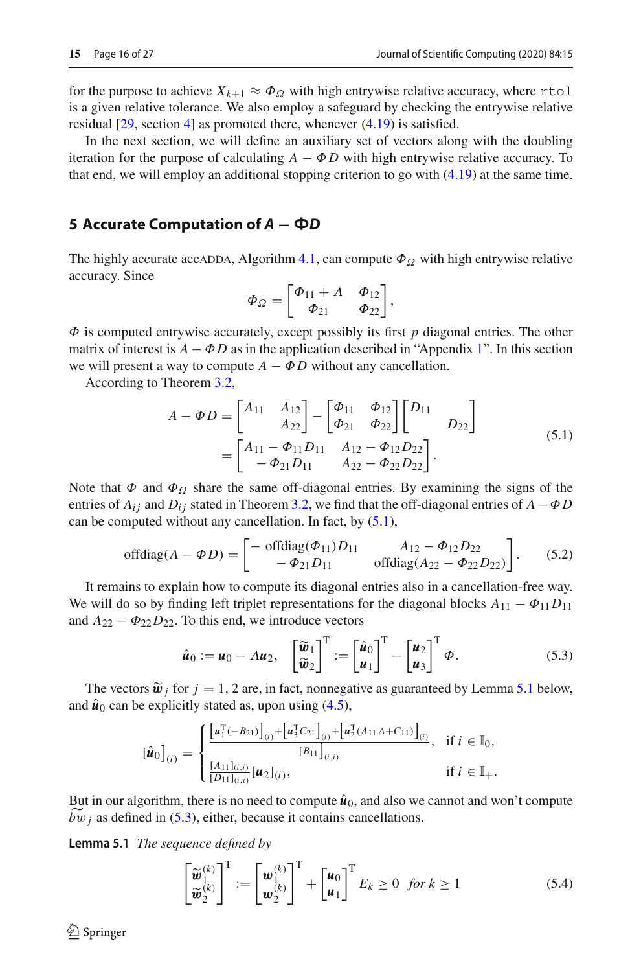for the purpose to achieve  $X_{k+1} \approx \Phi_{\Omega}$  with high entrywise relative accuracy, where rtol is a given relative tolerance. We also employ a safeguard by checking the entrywise relative residual [\[29](#page-26-13), section [4\]](#page-9-0) as promoted there, whenever [\(4.19\)](#page-14-2) is satisfied.

In the next section, we will define an auxiliary set of vectors along with the doubling iteration for the purpose of calculating  $A - \Phi D$  with high entrywise relative accuracy. To that end, we will employ an additional stopping criterion to go with [\(4.19\)](#page-14-2) at the same time.

## <span id="page-15-0"></span>**5 Accurate Computation of** *<sup>A</sup>* **<sup>−</sup>** *<sup>8</sup><sup>D</sup>*

The highly accurate accadda, Algorithm [4.1,](#page-14-1) can compute  $\Phi_{\Omega}$  with high entrywise relative accuracy. Since

<span id="page-15-1"></span>
$$
\Phi_{\Omega} = \begin{bmatrix} \Phi_{11} + \Lambda & \Phi_{12} \\ \Phi_{21} & \Phi_{22} \end{bmatrix},
$$

Φ is computed entrywise accurately, except possibly its first *p* diagonal entries. The other matrix of interest is  $A - \Phi D$  as in the application described in "Appendix [1"](#page-21-0). In this section we will present a way to compute  $A - \Phi D$  without any cancellation.

According to Theorem [3.2,](#page-6-0)

$$
A - \Phi D = \begin{bmatrix} A_{11} & A_{12} \\ A_{22} \end{bmatrix} - \begin{bmatrix} \Phi_{11} & \Phi_{12} \\ \Phi_{21} & \Phi_{22} \end{bmatrix} \begin{bmatrix} D_{11} \\ D_{22} \end{bmatrix}
$$
  
= 
$$
\begin{bmatrix} A_{11} - \Phi_{11}D_{11} & A_{12} - \Phi_{12}D_{22} \\ -\Phi_{21}D_{11} & A_{22} - \Phi_{22}D_{22} \end{bmatrix}.
$$
 (5.1)

Note that  $\Phi$  and  $\Phi_{\Omega}$  share the same off-diagonal entries. By examining the signs of the entries of  $A_{ij}$  and  $D_{ij}$  stated in Theorem [3.2,](#page-6-0) we find that the off-diagonal entries of  $A - \Phi D$ can be computed without any cancellation. In fact, by [\(5.1\)](#page-15-1),

offdiag
$$
(A - \Phi D)
$$
 =  $\begin{bmatrix} - \text{offdiag}(\Phi_{11})D_{11} & A_{12} - \Phi_{12}D_{22} \\ - \Phi_{21}D_{11} & \text{offdiag}(A_{22} - \Phi_{22}D_{22}) \end{bmatrix}$ . (5.2)

It remains to explain how to compute its diagonal entries also in a cancellation-free way. We will do so by finding left triplet representations for the diagonal blocks  $A_{11} - \Phi_{11} D_{11}$ and  $A_{22} - \Phi_{22} D_{22}$ . To this end, we introduce vectors

<span id="page-15-3"></span>
$$
\hat{\boldsymbol{u}}_0 := \boldsymbol{u}_0 - A \boldsymbol{u}_2, \quad \left[\begin{matrix} \widetilde{\boldsymbol{w}}_1 \\ \widetilde{\boldsymbol{w}}_2 \end{matrix}\right]^{\mathrm{T}} := \left[\begin{matrix} \hat{\boldsymbol{u}}_0 \\ \boldsymbol{u}_1 \end{matrix}\right]^{\mathrm{T}} - \left[\begin{matrix} \boldsymbol{u}_2 \\ \boldsymbol{u}_3 \end{matrix}\right]^{\mathrm{T}} \boldsymbol{\Phi}.
$$
\n(5.3)

The vectors  $\tilde{\boldsymbol{w}}_j$  for  $j = 1, 2$  are, in fact, nonnegative as guaranteed by Lemma [5.1](#page-15-2) below, and  $\hat{u}_0$  can be explicitly stated as, upon using  $(4.5)$ ,

$$
\left[\hat{\mathbf{u}}_0\right]_{(i)} = \begin{cases} \frac{\left[\mathbf{u}_1^{\mathrm{T}}(-B_{21})\right]_{(i)} + \left[\mathbf{u}_3^{\mathrm{T}}C_{21}\right]_{(i)} + \left[\mathbf{u}_2^{\mathrm{T}}(A_{11}A + C_{11})\right]_{(i)}}{\left[B_{11}\right]_{(i,i)}} & \text{if } i \in \mathbb{I}_0, \\ \frac{\left[A_{11}\right]_{(i,i)}}{\left[D_{11}\right]_{(i,i)}} \left[\mathbf{u}_2\right]_{(i)}, & \text{if } i \in \mathbb{I}_+.\end{cases}
$$

<span id="page-15-2"></span>But in our algorithm, there is no need to compute  $\hat{u}_0$ , and also we cannot and won't compute  $bw_j$  as defined in [\(5.3\)](#page-15-3), either, because it contains cancellations.

**Lemma 5.1** *The sequence defined by*

<span id="page-15-4"></span>
$$
\begin{bmatrix} \widetilde{\boldsymbol{w}}_1^{(k)} \\ \widetilde{\boldsymbol{w}}_2^{(k)} \end{bmatrix}^{\mathrm{T}} := \begin{bmatrix} \boldsymbol{w}_1^{(k)} \\ \boldsymbol{w}_2^{(k)} \end{bmatrix}^{\mathrm{T}} + \begin{bmatrix} \boldsymbol{u}_0 \\ \boldsymbol{u}_1 \end{bmatrix}^{\mathrm{T}} E_k \ge 0 \text{ for } k \ge 1
$$
 (5.4)

 $\circledcirc$  Springer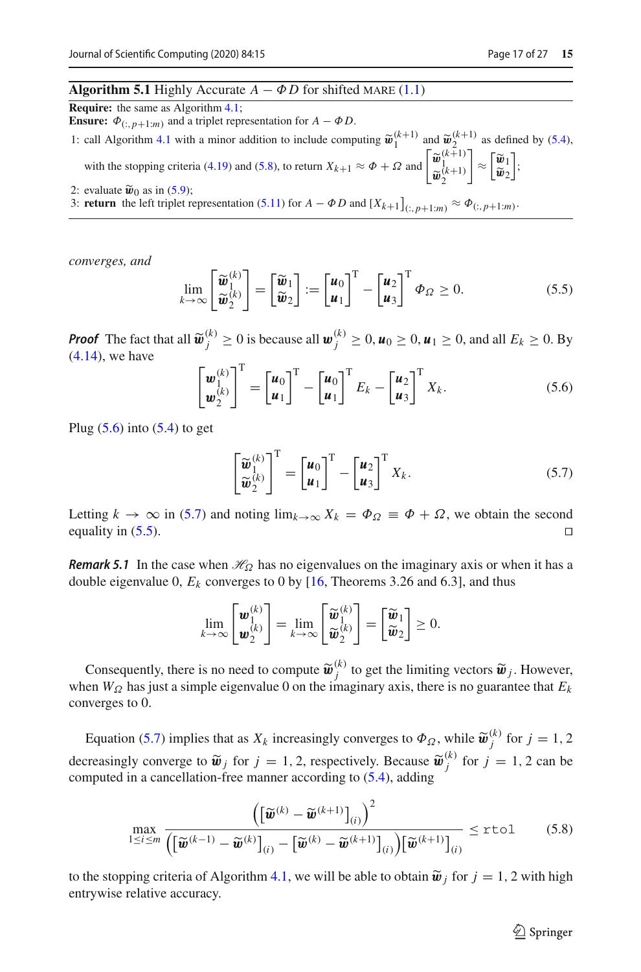# <span id="page-16-4"></span>**Algorithm 5.1** Highly Accurate  $A - \Phi D$  for shifted MARE [\(1.1\)](#page-0-0)

**Require:** the same as Algorithm [4.1;](#page-14-1)

**Ensure:**  $\Phi_{(:,p+1:m)}$  and a triplet representation for *A* −  $\Phi$ *D*.

1: call Algorithm [4.1](#page-14-1) with a minor addition to include computing  $\tilde{\boldsymbol{w}}_1^{(k+1)}$  and  $\tilde{\boldsymbol{w}}_2^{(k+1)}$  as defined by [\(5.4\)](#page-15-4), with the stopping criteria [\(4.19\)](#page-14-2) and [\(5.8\)](#page-16-0), to return  $X_{k+1} \approx \Phi + \Omega$  and  $\begin{bmatrix} \widetilde{\mathbf{w}}_k^{(k+1)} \\ \widetilde{\mathbf{w}}_2^{(k+1)} \end{bmatrix}$ <br>evaluate  $\widetilde{\mathbf{w}}_0$  as in (5.9).  $\overline{\phantom{a}}$  $\approx \left|\frac{\widetilde{\boldsymbol{w}}_1}{\widetilde{\boldsymbol{w}}_2}\right|$  $\tilde{\bm{w}}_2$ ;

2: evaluate  $\tilde{\mathbf{w}}_0$  as in [\(5.9\)](#page-17-1);<br>3: **return** the left triplet representation [\(5.11\)](#page-17-2) for  $A - \Phi D$  and  $[X_{k+1}]_{(:,p+1:m)} \approx \Phi_{(:,p+1:m)}$ .

*converges, and*

<span id="page-16-3"></span>
$$
\lim_{k \to \infty} \left[ \begin{matrix} \widetilde{\boldsymbol{w}}_1^{(k)} \\ \widetilde{\boldsymbol{w}}_2^{(k)} \end{matrix} \right] = \left[ \begin{matrix} \widetilde{\boldsymbol{w}}_1 \\ \widetilde{\boldsymbol{w}}_2 \end{matrix} \right] := \left[ \begin{matrix} \boldsymbol{u}_0 \\ \boldsymbol{u}_1 \end{matrix} \right]^{\mathrm{T}} - \left[ \begin{matrix} \boldsymbol{u}_2 \\ \boldsymbol{u}_3 \end{matrix} \right]^{\mathrm{T}} \boldsymbol{\Phi}_{\Omega} \ge 0.
$$
 (5.5)

*Proof* The fact that all  $\widetilde{\boldsymbol{w}}_j^{(k)} \ge 0$  is because all  $\boldsymbol{w}_j^{(k)} \ge 0$ ,  $\boldsymbol{u}_0 \ge 0$ ,  $\boldsymbol{u}_1 \ge 0$ , and all  $E_k \ge 0$ . By (4.14) we have [\(4.14\)](#page-12-4), we have

<span id="page-16-1"></span>
$$
\begin{bmatrix} \boldsymbol{w}_{1}^{(k)} \\ \boldsymbol{w}_{2}^{(k)} \end{bmatrix}^{\mathrm{T}} = \begin{bmatrix} \boldsymbol{u}_{0} \\ \boldsymbol{u}_{1} \end{bmatrix}^{\mathrm{T}} - \begin{bmatrix} \boldsymbol{u}_{0} \\ \boldsymbol{u}_{1} \end{bmatrix}^{\mathrm{T}} E_{k} - \begin{bmatrix} \boldsymbol{u}_{2} \\ \boldsymbol{u}_{3} \end{bmatrix}^{\mathrm{T}} X_{k}.
$$
 (5.6)

Plug  $(5.6)$  into  $(5.4)$  to get

<span id="page-16-2"></span>
$$
\begin{bmatrix} \widetilde{\boldsymbol{w}}_1^{(k)} \\ \widetilde{\boldsymbol{w}}_2^{(k)} \end{bmatrix}^{\mathrm{T}} = \begin{bmatrix} \boldsymbol{u}_0 \\ \boldsymbol{u}_1 \end{bmatrix}^{\mathrm{T}} - \begin{bmatrix} \boldsymbol{u}_2 \\ \boldsymbol{u}_3 \end{bmatrix}^{\mathrm{T}} X_k.
$$
 (5.7)

Letting  $k \to \infty$  in [\(5.7\)](#page-16-2) and noting  $\lim_{k \to \infty} X_k = \Phi_{\Omega} \equiv \Phi + \Omega$ , we obtain the second equality in [\(5.5\)](#page-16-3).  $\Box$ 

*Remark 5.1* In the case when  $\mathcal{H}_{\Omega}$  has no eigenvalues on the imaginary axis or when it has a double eigenvalue 0,  $E_k$  converges to 0 by  $[16,$  $[16,$  Theorems 3.26 and 6.3], and thus

$$
\lim_{k\to\infty}\begin{bmatrix} \mathbf{w}_{1}^{(k)} \\ \mathbf{w}_{2}^{(k)} \end{bmatrix} = \lim_{k\to\infty}\begin{bmatrix} \widetilde{\mathbf{w}}_{1}^{(k)} \\ \widetilde{\mathbf{w}}_{2}^{(k)} \end{bmatrix} = \begin{bmatrix} \widetilde{\mathbf{w}}_{1} \\ \widetilde{\mathbf{w}}_{2} \end{bmatrix} \geq 0.
$$

Consequently, there is no need to compute  $\tilde{\boldsymbol{w}}_j^{(k)}$  to get the limiting vectors  $\tilde{\boldsymbol{w}}_j$ . However,  $\boldsymbol{w}_k$  has just a simple eigenvalue 0 on the imaginary axis, there is no quarantee that  $\boldsymbol{F}_k$ . when  $W_{\Omega}$  has just a simple eigenvalue 0 on the imaginary axis, there is no guarantee that  $E_k$ converges to 0.

Equation [\(5.7\)](#page-16-2) implies that as  $X_k$  increasingly converges to  $\Phi_{\Omega}$ , while  $\widetilde{\boldsymbol{w}}_j^{(k)}$  for  $j = 1, 2$ decreasingly converge to  $\widetilde{\boldsymbol{w}}_j$  for  $j = 1, 2$ , respectively. Because  $\widetilde{\boldsymbol{w}}_j^{(k)}$  for  $j = 1, 2$  can be computed in a cancellation-free manner according to (5.4), adding computed in a cancellation-free manner according to [\(5.4\)](#page-15-4), adding

<span id="page-16-0"></span>
$$
\max_{1 \le i \le m} \frac{\left( \left[ \widetilde{\boldsymbol{w}}^{(k)} - \widetilde{\boldsymbol{w}}^{(k+1)} \right]_{(i)} \right)^2}{\left( \left[ \widetilde{\boldsymbol{w}}^{(k-1)} - \widetilde{\boldsymbol{w}}^{(k)} \right]_{(i)} - \left[ \widetilde{\boldsymbol{w}}^{(k)} - \widetilde{\boldsymbol{w}}^{(k+1)} \right]_{(i)} \right) \left[ \widetilde{\boldsymbol{w}}^{(k+1)} \right]_{(i)}} \le \text{rtol} \tag{5.8}
$$

to the stopping criteria of Algorithm [4.1,](#page-14-1) we will be able to obtain  $\tilde{\boldsymbol{w}}_i$  for  $j = 1, 2$  with high entrywise relative accuracy.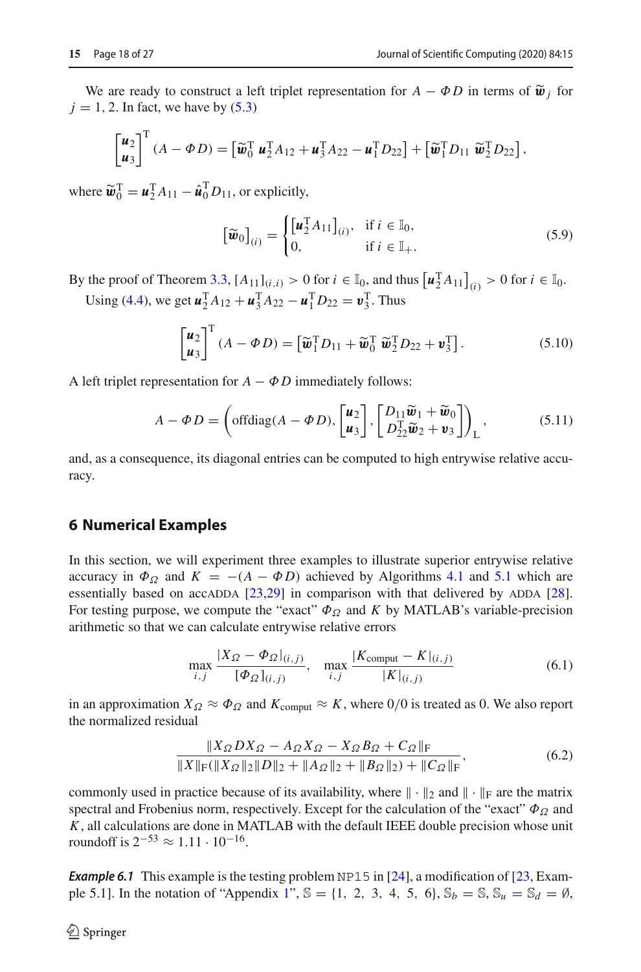We are ready to construct a left triplet representation for  $A - \Phi D$  in terms of  $\tilde{\mathbf{w}}_i$  for  $j = 1, 2$ . In fact, we have by  $(5.3)$ 

$$
\begin{bmatrix} \boldsymbol{u}_2 \\ \boldsymbol{u}_3 \end{bmatrix}^{\mathrm{T}} (A - \boldsymbol{\Phi} D) = \begin{bmatrix} \widetilde{\boldsymbol{w}}_0^{\mathrm{T}} \ \boldsymbol{u}_2^{\mathrm{T}} A_{12} + \boldsymbol{u}_3^{\mathrm{T}} A_{22} - \boldsymbol{u}_1^{\mathrm{T}} D_{22} \end{bmatrix} + \begin{bmatrix} \widetilde{\boldsymbol{w}}_1^{\mathrm{T}} D_{11} \ \widetilde{\boldsymbol{w}}_2^{\mathrm{T}} D_{22} \end{bmatrix},
$$

where  $\widetilde{\boldsymbol{w}}_0^{\text{T}} = \boldsymbol{u}_2^{\text{T}} A_{11} - \hat{\boldsymbol{u}}_0^{\text{T}} D_{11}$ , or explicitly,

<span id="page-17-1"></span>
$$
\left[\widetilde{\boldsymbol{w}}_0\right]_{(i)} = \begin{cases} \left[\boldsymbol{u}_2^{\mathrm{T}} A_{11}\right]_{(i)}, & \text{if } i \in \mathbb{I}_0, \\ 0, & \text{if } i \in \mathbb{I}_+. \end{cases}
$$
\n
$$
(5.9)
$$

By the proof of Theorem [3.3,](#page-6-4)  $[A_{11}]_{(i,i)} > 0$  for  $i \in \mathbb{I}_0$ , and thus  $[u_2^T A_{11}]_{(i)} > 0$  for  $i \in \mathbb{I}_0$ . Using [\(4.4\)](#page-11-6), we get  $\mathbf{u}_2^T A_{12} + \mathbf{u}_3^T A_{22} - \mathbf{u}_1^T D_{22} = \mathbf{v}_3^T$ . Thus

$$
\begin{bmatrix} \boldsymbol{u}_2 \\ \boldsymbol{u}_3 \end{bmatrix}^{\mathrm{T}} (A - \boldsymbol{\Phi} D) = \begin{bmatrix} \widetilde{\boldsymbol{w}}_1^{\mathrm{T}} D_{11} + \widetilde{\boldsymbol{w}}_0^{\mathrm{T}} \ \widetilde{\boldsymbol{w}}_2^{\mathrm{T}} D_{22} + \boldsymbol{v}_3^{\mathrm{T}} \end{bmatrix}.
$$
 (5.10)

A left triplet representation for  $A - \Phi D$  immediately follows:

<span id="page-17-2"></span>
$$
A - \Phi D = \left( \text{offdiag}(A - \Phi D), \begin{bmatrix} \boldsymbol{u}_2 \\ \boldsymbol{u}_3 \end{bmatrix}, \begin{bmatrix} D_{11} \widetilde{\boldsymbol{w}}_1 + \widetilde{\boldsymbol{w}}_0 \\ D_{22}^{\mathrm{T}} \widetilde{\boldsymbol{w}}_2 + \boldsymbol{v}_3 \end{bmatrix} \right)_L, \tag{5.11}
$$

and, as a consequence, its diagonal entries can be computed to high entrywise relative accuracy.

#### <span id="page-17-0"></span>**6 Numerical Examples**

In this section, we will experiment three examples to illustrate superior entrywise relative accuracy in  $\Phi_{\Omega}$  and  $K = -(A - \Phi D)$  achieved by Algorithms [4.1](#page-14-1) and [5.1](#page-16-4) which are essentially based on accadda  $[23,29]$  $[23,29]$  $[23,29]$  in comparison with that delivered by ADDA  $[28]$ . For testing purpose, we compute the "exact"  $\Phi_{\Omega}$  and *K* by MATLAB's variable-precision arithmetic so that we can calculate entrywise relative errors

<span id="page-17-4"></span>
$$
\max_{i,j} \frac{|X_{\Omega} - \Phi_{\Omega}|_{(i,j)}}{[\Phi_{\Omega}]_{(i,j)}}, \quad \max_{i,j} \frac{|K_{\text{comput}} - K|_{(i,j)}}{|K|_{(i,j)}} \tag{6.1}
$$

in an approximation  $X_{\Omega} \approx \Phi_{\Omega}$  and  $K_{\text{comput}} \approx K$ , where 0/0 is treated as 0. We also report the normalized residual

<span id="page-17-5"></span>
$$
\frac{\|X_{\Omega}DX_{\Omega} - A_{\Omega}X_{\Omega} - X_{\Omega}B_{\Omega} + C_{\Omega}\|_{\mathrm{F}}}{\|X\|_{\mathrm{F}}(\|X_{\Omega}\|_{2}\|D\|_{2} + \|A_{\Omega}\|_{2} + \|B_{\Omega}\|_{2}) + \|C_{\Omega}\|_{\mathrm{F}}},\tag{6.2}
$$

commonly used in practice because of its availability, where  $\|\cdot\|_2$  and  $\|\cdot\|_F$  are the matrix spectral and Frobenius norm, respectively. Except for the calculation of the "exact"  $\Phi_{\Omega}$  and *K*, all calculations are done in MATLAB with the default IEEE double precision whose unit roundoff is  $2^{-53}$  ≈ 1.11 · 10<sup>-16</sup>.

<span id="page-17-3"></span>**Example 6.1** This example is the testing problem NP15 in [\[24\]](#page-26-20), a modification of [\[23,](#page-26-12) Exam-ple 5.1]. In the notation of "Appendix [1"](#page-21-0),  $\mathbb{S} = \{1, 2, 3, 4, 5, 6\}, \mathbb{S}_b = \mathbb{S}, \mathbb{S}_u = \mathbb{S}_d = \emptyset$ ,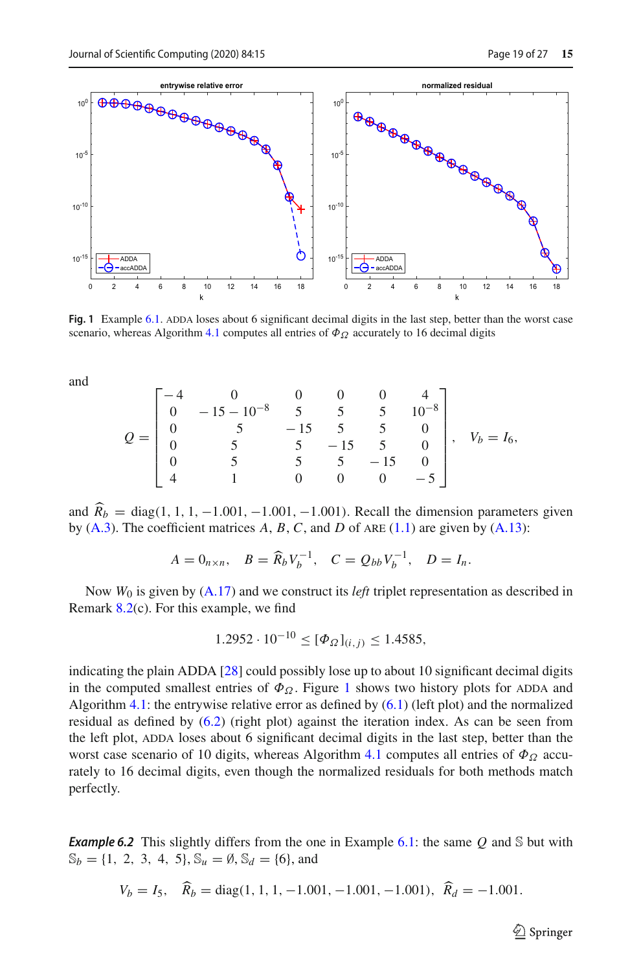

<span id="page-18-0"></span>**Fig. 1** Example [6.1.](#page-17-3) ADDA loses about 6 significant decimal digits in the last step, better than the worst case scenario, whereas Algorithm [4.1](#page-14-1) computes all entries of  $\Phi_{\Omega}$  accurately to 16 decimal digits

and

$$
Q = \begin{bmatrix} -4 & 0 & 0 & 0 & 0 & 4 \\ 0 & -15 & -10^{-8} & 5 & 5 & 5 & 10^{-8} \\ 0 & 5 & -15 & 5 & 5 & 0 \\ 0 & 5 & 5 & -15 & 5 & 0 \\ 0 & 5 & 5 & 5 & -15 & 0 \\ 4 & 1 & 0 & 0 & 0 & -5 \end{bmatrix}, \quad V_b = I_6,
$$

and  $R_b$  = diag(1, 1, 1, -1.001, -1.001, -1.001). Recall the dimension parameters given<br>the (A, 2) The so fisicular traction  $A$ ,  $B$ ,  $C$  and  $D$  of the (A, 1) and integrated (A, 12). by  $(A.3)$ . The coefficient matrices  $A, B, C$ , and  $D$  of ARE  $(1.1)$  are given by  $(A.13)$ :

$$
A = 0_{n \times n}
$$
,  $B = \widehat{R}_b V_b^{-1}$ ,  $C = Q_{bb} V_b^{-1}$ ,  $D = I_n$ .

Now *W*<sup>0</sup> is given by [\(A.17\)](#page-24-1) and we construct its *left* triplet representation as described in Remark [8.2\(](#page-24-0)c). For this example, we find

$$
1.2952 \cdot 10^{-10} \leq [\Phi_{\Omega}]_{(i,j)} \leq 1.4585,
$$

indicating the plain ADDA [\[28](#page-26-11)] could possibly lose up to about 10 significant decimal digits in the computed smallest entries of  $\Phi_{\Omega}$ . Figure [1](#page-18-0) shows two history plots for ADDA and Algorithm [4.1:](#page-14-1) the entrywise relative error as defined by  $(6.1)$  (left plot) and the normalized residual as defined by  $(6.2)$  (right plot) against the iteration index. As can be seen from the left plot, ADDA loses about 6 significant decimal digits in the last step, better than the worst case scenario of 10 digits, whereas Algorithm [4.1](#page-14-1) computes all entries of  $\Phi_{\Omega}$  accurately to 16 decimal digits, even though the normalized residuals for both methods match perfectly.

<span id="page-18-1"></span>*Example 6.2* This slightly differs from the one in Example [6.1:](#page-17-3) the same *Q* and S but with  $\mathbb{S}_b = \{1, 2, 3, 4, 5\}, \mathbb{S}_u = \emptyset, \mathbb{S}_d = \{6\}, \text{and}$ 

$$
V_b = I_5
$$
,  $\widehat{R}_b = \text{diag}(1, 1, 1, -1.001, -1.001, -1.001)$ ,  $\widehat{R}_d = -1.001$ .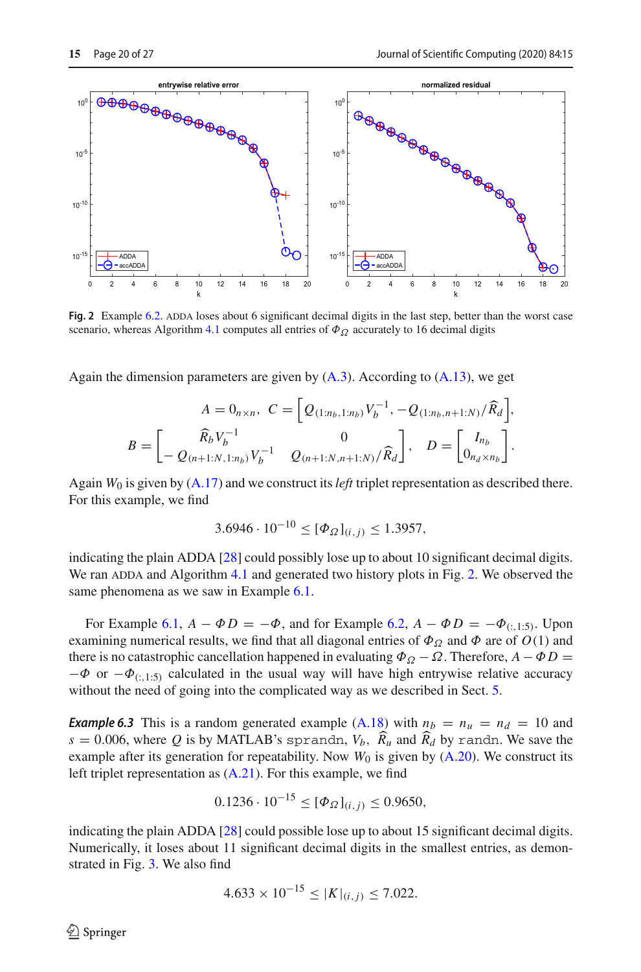

<span id="page-19-0"></span>**Fig. 2** Example [6.2.](#page-18-1) ADDA loses about 6 significant decimal digits in the last step, better than the worst case scenario, whereas Algorithm [4.1](#page-14-1) computes all entries of  $\Phi_{\Omega}$  accurately to 16 decimal digits

Again the dimension parameters are given by  $(A.3)$ . According to  $(A.13)$ , we get

$$
A = 0_{n \times n}, \ C = \left[ Q_{(1:n_b,1:n_b)} V_b^{-1}, -Q_{(1:n_b,n+1:N)} / \widehat{R}_d \right],
$$
  

$$
B = \begin{bmatrix} \widehat{R}_b V_b^{-1} & 0 \\ -Q_{(n+1:N,1:n_b)} V_b^{-1} & Q_{(n+1:N,n+1:N)} / \widehat{R}_d \end{bmatrix}, \ D = \begin{bmatrix} I_{n_b} \\ 0_{n_d \times n_b} \end{bmatrix}.
$$

Again *W*<sup>0</sup> is given by [\(A.17\)](#page-24-1) and we construct its*left* triplet representation as described there. For this example, we find

$$
3.6946 \cdot 10^{-10} \leq [\Phi_{\Omega}]_{(i,j)} \leq 1.3957,
$$

indicating the plain ADDA [\[28\]](#page-26-11) could possibly lose up to about 10 significant decimal digits. We ran ADDA and Algorithm [4.1](#page-14-1) and generated two history plots in Fig. [2.](#page-19-0) We observed the same phenomena as we saw in Example [6.1.](#page-17-3)

For Example [6.1,](#page-17-3)  $A - \Phi D = -\Phi$ , and for Example [6.2,](#page-18-1)  $A - \Phi D = -\Phi_{(:,1:5)}$ . Upon examining numerical results, we find that all diagonal entries of  $\Phi_{\Omega}$  and  $\Phi$  are of  $O(1)$  and there is no catastrophic cancellation happened in evaluating  $\Phi_{\Omega} - \Omega$ . Therefore,  $A - \Phi D =$  $-\Phi$  or  $-\Phi_{(:,1:5)}$  calculated in the usual way will have high entrywise relative accuracy without the need of going into the complicated way as we described in Sect. [5.](#page-15-0)

<span id="page-19-1"></span>*Example 6.3* This is a random generated example [\(A.18\)](#page-24-2) with  $n_b = n_u = n_d = 10$  and  $s = 0.006$ , where *Q* is by MATLAB's sprandn,  $V_b$ ,  $R_u$  and  $R_d$  by randn. We save the example after its generation for repeatability. Now  $W_0$  is given by  $(A.20)$ . We construct its left triplet representation as  $(A.21)$ . For this example, we find

$$
0.1236 \cdot 10^{-15} \leq [\Phi_{\Omega}]_{(i,j)} \leq 0.9650,
$$

indicating the plain ADDA [\[28\]](#page-26-11) could possible lose up to about 15 significant decimal digits. Numerically, it loses about 11 significant decimal digits in the smallest entries, as demonstrated in Fig. [3.](#page-20-1) We also find

$$
4.633 \times 10^{-15} \le |K|_{(i,j)} \le 7.022.
$$

 $\mathcal{L}$  Springer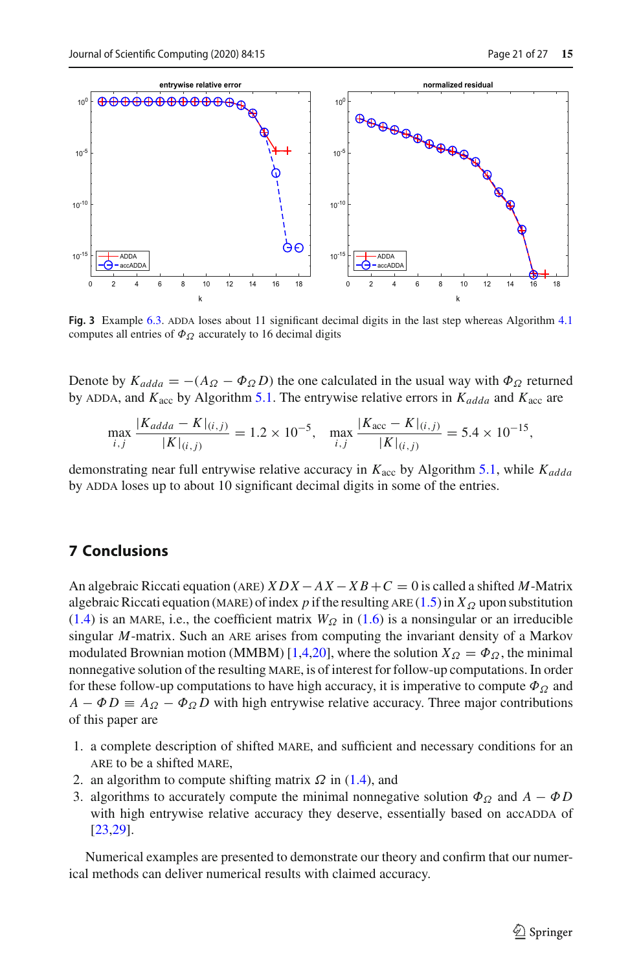

<span id="page-20-1"></span>**Fig. 3** Example [6.3.](#page-19-1) ADDA loses about 11 significant decimal digits in the last step whereas Algorithm [4.1](#page-14-1) computes all entries of  $\Phi_{\Omega}$  accurately to 16 decimal digits

Denote by  $K_{adda} = -(A_{\Omega} - \Phi_{\Omega} D)$  the one calculated in the usual way with  $\Phi_{\Omega}$  returned by ADDA, and  $K_{\text{acc}}$  by Algorithm [5.1.](#page-16-4) The entrywise relative errors in  $K_{\text{adda}}$  and  $K_{\text{acc}}$  are

$$
\max_{i,j} \frac{|K_{adda} - K|_{(i,j)}}{|K|_{(i,j)}} = 1.2 \times 10^{-5}, \quad \max_{i,j} \frac{|K_{\text{acc}} - K|_{(i,j)}}{|K|_{(i,j)}} = 5.4 \times 10^{-15},
$$

demonstrating near full entrywise relative accuracy in  $K_{\text{acc}}$  by Algorithm [5.1,](#page-16-4) while  $K_{add}$ by ADDA loses up to about 10 significant decimal digits in some of the entries.

# <span id="page-20-0"></span>**7 Conclusions**

An algebraic Riccati equation (are) *XDX* <sup>−</sup> *AX* <sup>−</sup> *X B* <sup>+</sup>*<sup>C</sup>* <sup>=</sup> 0 is called a shifted *<sup>M</sup>*-Matrix algebraic Riccati equation (MARE) of index *p* if the resulting ARE [\(1.5\)](#page-1-2) in  $X_{\Omega}$  upon substitution [\(1.4\)](#page-1-3) is an MARE, i.e., the coefficient matrix  $W_Q$  in [\(1.6\)](#page-1-5) is a nonsingular or an irreducible singular *M*-matrix. Such an ARE arises from computing the invariant density of a Markov modulated Brownian motion (MMBM) [\[1](#page-25-7)[,4](#page-25-8)[,20\]](#page-26-21), where the solution  $X_{\Omega} = \Phi_{\Omega}$ , the minimal nonnegative solution of the resulting mare, is of interest for follow-up computations. In order for these follow-up computations to have high accuracy, it is imperative to compute  $\Phi_{\Omega}$  and  $A - \Phi D \equiv A_{\Omega} - \Phi_{\Omega} D$  with high entrywise relative accuracy. Three major contributions of this paper are

- 1. a complete description of shifted mare, and sufficient and necessary conditions for an are to be a shifted mare,
- 2. an algorithm to compute shifting matrix  $\Omega$  in [\(1.4\)](#page-1-3), and
- 3. algorithms to accurately compute the minimal nonnegative solution  $\Phi_{\Omega}$  and  $A \Phi D$ with high entrywise relative accuracy they deserve, essentially based on accadDA of [\[23](#page-26-12)[,29\]](#page-26-13).

Numerical examples are presented to demonstrate our theory and confirm that our numerical methods can deliver numerical results with claimed accuracy.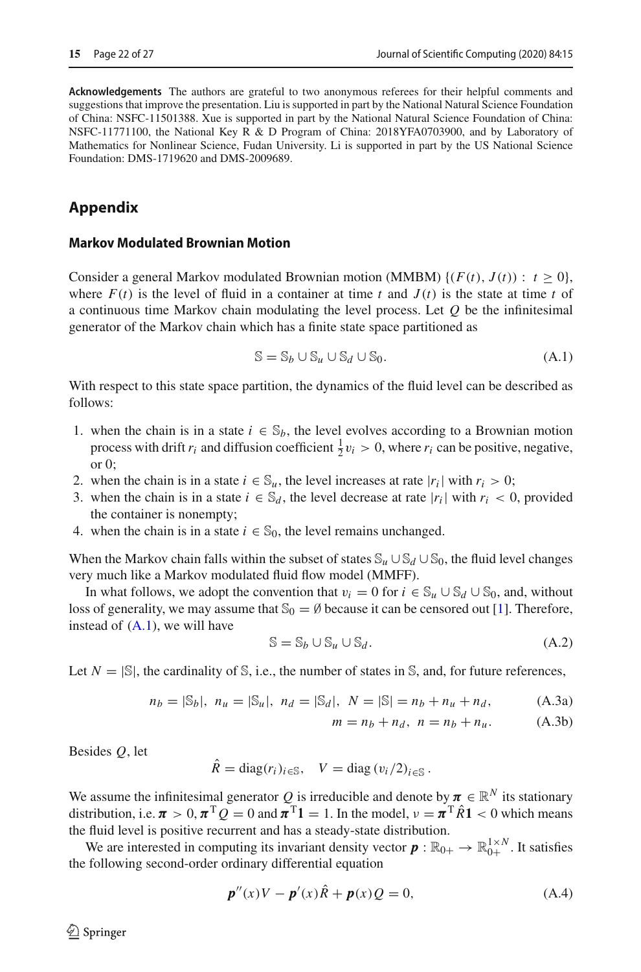**Acknowledgements** The authors are grateful to two anonymous referees for their helpful comments and suggestions that improve the presentation. Liu is supported in part by the National Natural Science Foundation of China: NSFC-11501388. Xue is supported in part by the National Natural Science Foundation of China: NSFC-11771100, the National Key R & D Program of China: 2018YFA0703900, and by Laboratory of Mathematics for Nonlinear Science, Fudan University. Li is supported in part by the US National Science Foundation: DMS-1719620 and DMS-2009689.

# **Appendix**

#### <span id="page-21-0"></span>**Markov Modulated Brownian Motion**

Consider a general Markov modulated Brownian motion (MMBM)  $\{(F(t), J(t)) : t > 0\}$ , where  $F(t)$  is the level of fluid in a container at time *t* and  $J(t)$  is the state at time *t* of a continuous time Markov chain modulating the level process. Let *Q* be the infinitesimal generator of the Markov chain which has a finite state space partitioned as

<span id="page-21-2"></span>
$$
\mathbb{S} = \mathbb{S}_b \cup \mathbb{S}_u \cup \mathbb{S}_d \cup \mathbb{S}_0. \tag{A.1}
$$

With respect to this state space partition, the dynamics of the fluid level can be described as follows:

- 1. when the chain is in a state  $i \in \mathbb{S}_b$ , the level evolves according to a Brownian motion process with drift  $r_i$  and diffusion coefficient  $\frac{1}{2}v_i > 0$ , where  $r_i$  can be positive, negative, or 0;
- 2. when the chain is in a state  $i \in \mathbb{S}_u$ , the level increases at rate  $|r_i|$  with  $r_i > 0$ ;
- 3. when the chain is in a state  $i \in \mathbb{S}_d$ , the level decrease at rate  $|r_i|$  with  $r_i < 0$ , provided the container is nonempty;
- 4. when the chain is in a state  $i \in \mathbb{S}_0$ , the level remains unchanged.

When the Markov chain falls within the subset of states  $\mathbb{S}_u \cup \mathbb{S}_d \cup \mathbb{S}_0$ , the fluid level changes very much like a Markov modulated fluid flow model (MMFF).

In what follows, we adopt the convention that  $v_i = 0$  for  $i \in \mathbb{S}_u \cup \mathbb{S}_d \cup \mathbb{S}_0$ , and, without loss of generality, we may assume that  $\mathcal{S}_0 = \emptyset$  because it can be censored out [\[1\]](#page-25-7). Therefore, instead of [\(A.1\)](#page-21-2), we will have

<span id="page-21-4"></span>
$$
\mathbb{S} = \mathbb{S}_b \cup \mathbb{S}_u \cup \mathbb{S}_d. \tag{A.2}
$$

Let  $N = |\mathbb{S}|$ , the cardinality of S, i.e., the number of states in S, and, for future references,

$$
n_b = |\mathbb{S}_b|, \ n_u = |\mathbb{S}_u|, \ n_d = |\mathbb{S}_d|, \ N = |\mathbb{S}| = n_b + n_u + n_d, \tag{A.3a}
$$

<span id="page-21-1"></span>
$$
m = n_b + n_d, \ n = n_b + n_u.
$$
 (A.3b)

Besides *Q*, let

$$
\hat{R} = \text{diag}(r_i)_{i \in \mathbb{S}}, \quad V = \text{diag}(v_i/2)_{i \in \mathbb{S}}.
$$

We assume the infinitesimal generator *Q* is irreducible and denote by  $\pi \in \mathbb{R}^N$  its stationary distribution, i.e.  $\pi > 0$ ,  $\pi^T Q = 0$  and  $\pi^T 1 = 1$ . In the model,  $\nu = \pi^T \hat{R} 1 < 0$  which means the fluid level is positive recurrent and has a steady-state distribution.

We are interested in computing its invariant density vector  $\boldsymbol{p} : \mathbb{R}_{0+} \to \mathbb{R}_{0+}^{1 \times N}$ . It satisfies the following second-order ordinary differential equation

<span id="page-21-3"></span>
$$
p''(x)V - p'(x)\hat{R} + p(x)Q = 0,
$$
 (A.4)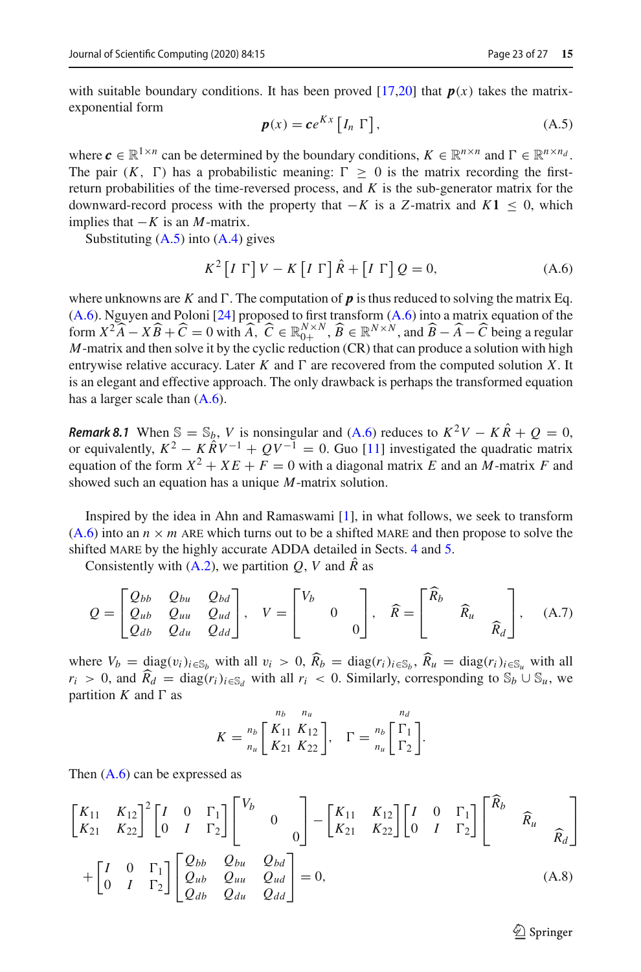with suitable boundary conditions. It has been proved  $[17,20]$  $[17,20]$  that  $p(x)$  takes the matrixexponential form

<span id="page-22-0"></span>
$$
\boldsymbol{p}(x) = \boldsymbol{c} e^{Kx} \left[ I_n \Gamma \right], \tag{A.5}
$$

where  $c \in \mathbb{R}^{1 \times n}$  can be determined by the boundary conditions,  $K \in \mathbb{R}^{n \times n}$  and  $\Gamma \in \mathbb{R}^{n \times n_d}$ . The pair  $(K, \Gamma)$  has a probabilistic meaning:  $\Gamma > 0$  is the matrix recording the firstreturn probabilities of the time-reversed process, and *K* is the sub-generator matrix for the downward-record process with the property that  $−K$  is a *Z*-matrix and  $K1 \leq 0$ , which implies that  $-K$  is an *M*-matrix.

Substituting  $(A.5)$  into  $(A.4)$  gives

<span id="page-22-1"></span>
$$
K^{2}\left[I\Gamma\right]V - K\left[I\Gamma\right]\hat{R} + \left[I\Gamma\right]Q = 0,\tag{A.6}
$$

where unknowns are *K* and  $\Gamma$ . The computation of **p** is thus reduced to solving the matrix Eq.  $(A.6)$ . Nguyen and Poloni [\[24\]](#page-26-20) proposed to first transform  $(A.6)$  into a matrix equation of the form  $X^2 \widehat{A} - X \widehat{B} + \widehat{C} = 0$  with  $\widehat{A}$ ,  $\widehat{C} \in \mathbb{R}^{N \times N}$ ,  $\widehat{B} \in \mathbb{R}^{N \times N}$ , and  $\widehat{B} - \widehat{A} - \widehat{C}$  being a regular *M* matrix and then solve it by the symptom (CD) that are produce a solvtion wit *M*-matrix and then solve it by the cyclic reduction (CR) that can produce a solution with high entrywise relative accuracy. Later  $K$  and  $\Gamma$  are recovered from the computed solution  $X$ . It is an elegant and effective approach. The only drawback is perhaps the transformed equation has a larger scale than  $(A.6)$ .

*Remark 8.1* When  $\mathbb{S} = \mathbb{S}_b$ , *V* is nonsingular and [\(A.6\)](#page-22-1) reduces to  $K^2V - K\hat{R} + Q = 0$ , or equivalently,  $K^2 - K\hat{R}V^{-1} + QV^{-1} = 0$ . Guo [\[11](#page-26-23)] investigated the quadratic matrix equation of the form  $X^2 + XE + F = 0$  with a diagonal matrix *E* and an *M*-matrix *F* and showed such an equation has a unique *M*-matrix solution.

Inspired by the idea in Ahn and Ramaswami [\[1](#page-25-7)], in what follows, we seek to transform  $(A.6)$  into an  $n \times m$  ARE which turns out to be a shifted MARE and then propose to solve the shifted MARE by the highly accurate ADDA detailed in Sects. [4](#page-9-0) and [5.](#page-15-0)

Consistently with  $(A.2)$ , we partition *Q*, *V* and  $\hat{R}$  as

$$
Q = \begin{bmatrix} Q_{bb} & Q_{bu} & Q_{bd} \\ Q_{ab} & Q_{uu} & Q_{ud} \\ Q_{db} & Q_{du} & Q_{dd} \end{bmatrix}, \quad V = \begin{bmatrix} V_b & & \\ & 0 & \\ & & 0 \end{bmatrix}, \quad \widehat{R} = \begin{bmatrix} \widehat{R}_b & & \\ & \widehat{R}_u & \\ & & \widehat{R}_d \end{bmatrix}, \quad \text{(A.7)}
$$

where  $V_b = \text{diag}(v_i)_{i \in \mathbb{S}_b}$  with all  $v_i > 0$ ,  $R_b = \text{diag}(r_i)_{i \in \mathbb{S}_b}$ ,  $R_u = \text{diag}(r_i)_{i \in \mathbb{S}_u}$  with all  $r_i > 0$ , and  $\widehat{R}_d = \text{diag}(r_i)_{i \in \mathbb{S}_d}$  with all  $r_i < 0$ . Similarly, corresponding to  $\mathbb{S}_b \cup \mathbb{S}_u$ , we partition  $K$  and  $\Gamma$  as

<span id="page-22-2"></span>
$$
K = \frac{n_b}{n_u} \left[ \frac{K_{11}}{K_{21}} \frac{K_{12}}{K_{22}} \right], \quad \Gamma = \frac{n_b}{n_u} \left[ \frac{\Gamma_1}{\Gamma_2} \right].
$$

Then [\(A.6\)](#page-22-1) can be expressed as

$$
\begin{bmatrix}\nK_{11} & K_{12} \\
K_{21} & K_{22}\n\end{bmatrix}^2\n\begin{bmatrix}\nI & 0 & \Gamma_1 \\
0 & I & \Gamma_2\n\end{bmatrix}\n\begin{bmatrix}\nV_b & 0 \\
0 & 0\n\end{bmatrix} -\n\begin{bmatrix}\nK_{11} & K_{12} \\
K_{21} & K_{22}\n\end{bmatrix}\n\begin{bmatrix}\nI & 0 & \Gamma_1 \\
0 & I & \Gamma_2\n\end{bmatrix}\n\begin{bmatrix}\n\widehat{R}_b & \widehat{R}_u \\
\widehat{R}_d\n\end{bmatrix}
$$
\n
$$
+\n\begin{bmatrix}\nI & 0 & \Gamma_1 \\
0 & I & \Gamma_2\n\end{bmatrix}\n\begin{bmatrix}\nQ_{bb} & Q_{bu} & Q_{bd} \\
Q_{ub} & Q_{uu} & Q_{ud} \\
Q_{du} & Q_{dd}\end{bmatrix} = 0,
$$
\n(A.8)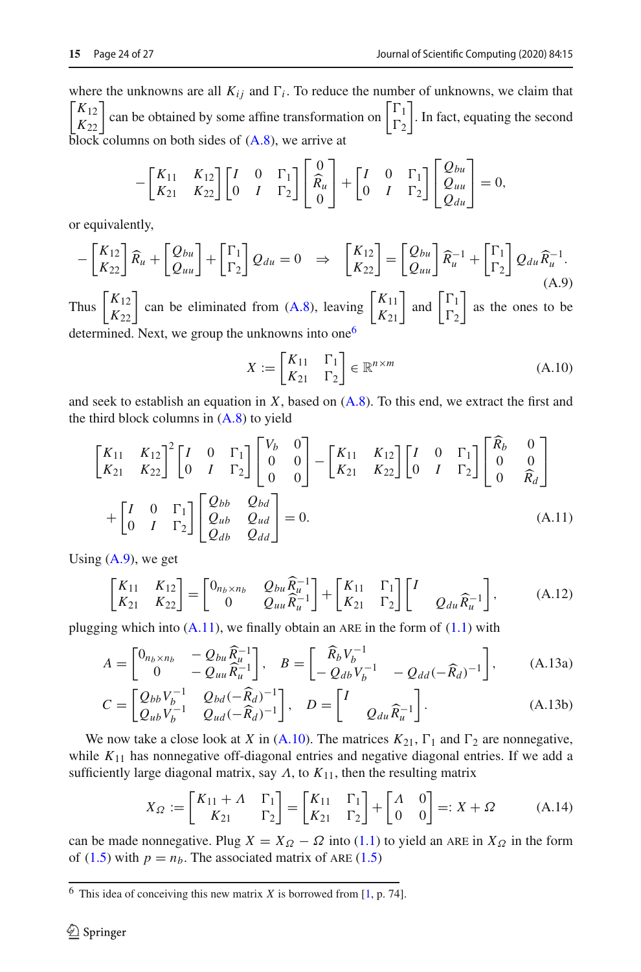where the unknowns are all  $K_{ij}$  and  $\Gamma_i$ . To reduce the number of unknowns, we claim that  $\begin{bmatrix} K_{12} \\ K_{22} \end{bmatrix}$ can be obtained by some affine transformation on  $\begin{bmatrix} \Gamma_1 \\ \Gamma_2 \end{bmatrix}$  $\Gamma_2$  . In fact, equating the second  $\overline{block}$  columns on both sides of  $(A.8)$ , we arrive at

$$
-\begin{bmatrix} K_{11} & K_{12} \\ K_{21} & K_{22} \end{bmatrix} \begin{bmatrix} I & 0 & \Gamma_1 \\ 0 & I & \Gamma_2 \end{bmatrix} \begin{bmatrix} 0 \\ \widehat{R}_u \\ 0 \end{bmatrix} + \begin{bmatrix} I & 0 & \Gamma_1 \\ 0 & I & \Gamma_2 \end{bmatrix} \begin{bmatrix} Q_{bu} \\ Q_{uu} \\ Q_{du} \end{bmatrix} = 0,
$$

or equivalently,

<span id="page-23-2"></span>
$$
-\begin{bmatrix} K_{12} \\ K_{22} \end{bmatrix} \widehat{R}_u + \begin{bmatrix} Q_{bu} \\ Q_{uu} \end{bmatrix} + \begin{bmatrix} \Gamma_1 \\ \Gamma_2 \end{bmatrix} Q_{du} = 0 \Rightarrow \begin{bmatrix} K_{12} \\ K_{22} \end{bmatrix} = \begin{bmatrix} Q_{bu} \\ Q_{uu} \end{bmatrix} \widehat{R}_u^{-1} + \begin{bmatrix} \Gamma_1 \\ \Gamma_2 \end{bmatrix} Q_{du} \widehat{R}_u^{-1}.
$$
\n(A.9)

Thus  $\begin{bmatrix} K_{12} \\ K_{22} \end{bmatrix}$  can be eliminated from [\(A.8\)](#page-22-2), leaving  $\begin{bmatrix} K_{11} \\ K_{21} \end{bmatrix}$  and  $\begin{bmatrix} \Gamma_1 \\ \Gamma_2 \end{bmatrix}$  $\Gamma_2$  as the ones to be determined. Next, we group the unknowns into one<sup>[6](#page-23-1)</sup>

<span id="page-23-4"></span><span id="page-23-3"></span><span id="page-23-0"></span>
$$
X := \begin{bmatrix} K_{11} & \Gamma_1 \\ K_{21} & \Gamma_2 \end{bmatrix} \in \mathbb{R}^{n \times m} \tag{A.10}
$$

and seek to establish an equation in  $X$ , based on  $(A.8)$ . To this end, we extract the first and the third block columns in  $(A.8)$  to yield

$$
\begin{bmatrix} K_{11} & K_{12} \\ K_{21} & K_{22} \end{bmatrix}^2 \begin{bmatrix} I & 0 & \Gamma_1 \\ 0 & I & \Gamma_2 \end{bmatrix} \begin{bmatrix} V_b & 0 \\ 0 & 0 \\ 0 & 0 \end{bmatrix} - \begin{bmatrix} K_{11} & K_{12} \\ K_{21} & K_{22} \end{bmatrix} \begin{bmatrix} I & 0 & \Gamma_1 \\ 0 & I & \Gamma_2 \end{bmatrix} \begin{bmatrix} R_b & 0 \\ 0 & 0 \\ 0 & \widehat{R}_d \end{bmatrix}
$$

$$
+ \begin{bmatrix} I & 0 & \Gamma_1 \\ 0 & I & \Gamma_2 \end{bmatrix} \begin{bmatrix} Q_{bb} & Q_{bd} \\ Q_{ub} & Q_{ud} \\ Q_{db} & Q_{dd} \end{bmatrix} = 0.
$$
(A.11)

Using  $(A.9)$ , we get

$$
\begin{bmatrix} K_{11} & K_{12} \\ K_{21} & K_{22} \end{bmatrix} = \begin{bmatrix} 0_{n_b \times n_b} & Q_{bu} \widehat{R}_{u}^{-1} \\ 0 & Q_{uu} \widehat{R}_{u}^{-1} \end{bmatrix} + \begin{bmatrix} K_{11} & \Gamma_1 \\ K_{21} & \Gamma_2 \end{bmatrix} \begin{bmatrix} I \\ Q_{du} \widehat{R}_{u}^{-1} \end{bmatrix},\tag{A.12}
$$

plugging which into  $(A.11)$ , we finally obtain an ARE in the form of  $(1.1)$  with

$$
A = \begin{bmatrix} 0_{n_b \times n_b} & -Q_{bu} \widehat{R}_{u}^{-1} \\ 0 & -Q_{uu} \widehat{R}_{u}^{-1} \end{bmatrix}, \quad B = \begin{bmatrix} \widehat{R}_b V_b^{-1} \\ -Q_{db} V_b^{-1} & -Q_{dd} (-\widehat{R}_d)^{-1} \end{bmatrix}, \tag{A.13a}
$$

$$
C = \begin{bmatrix} Q_{bb}V_b^{-1} & Q_{bd}(-\widehat{R}_d)^{-1} \\ Q_{ub}V_b^{-1} & Q_{ud}(-\widehat{R}_d)^{-1} \end{bmatrix}, \quad D = \begin{bmatrix} I \\ Q_{du}\widehat{R}_u^{-1} \end{bmatrix}.
$$
 (A.13b)

We now take a close look at *X* in  $(A.10)$ . The matrices  $K_{21}$ ,  $\Gamma_1$  and  $\Gamma_2$  are nonnegative, while  $K_{11}$  has nonnegative off-diagonal entries and negative diagonal entries. If we add a sufficiently large diagonal matrix, say  $\Lambda$ , to  $K_{11}$ , then the resulting matrix

$$
X_{\Omega} := \begin{bmatrix} K_{11} + \Lambda & \Gamma_1 \\ K_{21} & \Gamma_2 \end{bmatrix} = \begin{bmatrix} K_{11} & \Gamma_1 \\ K_{21} & \Gamma_2 \end{bmatrix} + \begin{bmatrix} \Lambda & 0 \\ 0 & 0 \end{bmatrix} =: X + \Omega \tag{A.14}
$$

can be made nonnegative. Plug  $X = X_{\Omega} - \Omega$  into [\(1.1\)](#page-0-0) to yield an ARE in  $X_{\Omega}$  in the form of  $(1.5)$  with  $p = n_b$ . The associated matrix of ARE  $(1.5)$ 

<span id="page-23-1"></span><sup>&</sup>lt;sup>6</sup> This idea of conceiving this new matrix *X* is borrowed from [\[1](#page-25-7), p. 74].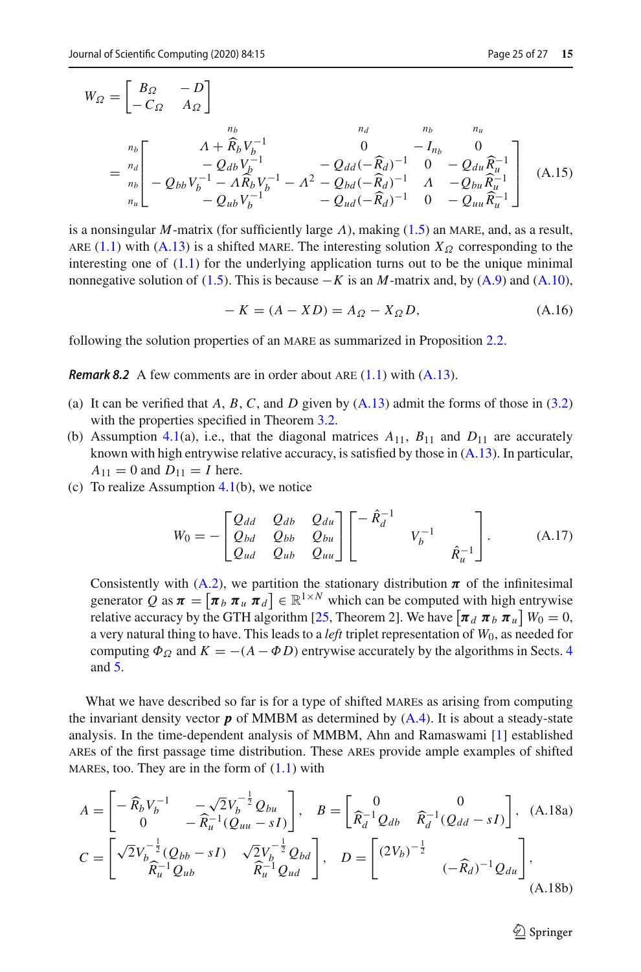$$
W_{\Omega} = \begin{bmatrix} B_{\Omega} & -D \\ -C_{\Omega} & A_{\Omega} \end{bmatrix}
$$
  
=  $\begin{bmatrix} n_b \\ n_b \\ n_b \end{bmatrix} - Q_{bb}V_b^{-1}$   
=  $\begin{bmatrix} \Delta + \widehat{R}_b V_b^{-1} & 0 & -I_{nb} & 0 \\ -Q_{db}V_b^{-1} & -Q_{dd}(-\widehat{R}_d)^{-1} & 0 & -Q_{du}\widehat{R}_u^{-1} \\ -Q_{bb}V_b^{-1} - A\widehat{R}_bV_b^{-1} - A^2 - Q_{bd}(-\widehat{R}_d)^{-1} & A & -Q_{bu}\widehat{R}_u^{-1} \\ -Q_{ub}V_b^{-1} & -Q_{ud}(-\widehat{R}_d)^{-1} & 0 & -Q_{uu}\widehat{R}_u^{-1} \end{bmatrix}$  (A.15)

is a nonsingular *M*-matrix (for sufficiently large  $\Lambda$ ), making [\(1.5\)](#page-1-2) an MARE, and, as a result, ARE [\(1.1\)](#page-0-0) with [\(A.13\)](#page-23-0) is a shifted MARE. The interesting solution  $X_{\Omega}$  corresponding to the interesting one of  $(1.1)$  for the underlying application turns out to be the unique minimal nonnegative solution of [\(1.5\)](#page-1-2). This is because  $-K$  is an *M*-matrix and, by [\(A.9\)](#page-23-2) and [\(A.10\)](#page-23-4),

$$
-K = (A - XD) = A_{\Omega} - X_{\Omega}D, \tag{A.16}
$$

<span id="page-24-0"></span>following the solution properties of an MARE as summarized in Proposition [2.2.](#page-4-2)

*Remark 8.2* A few comments are in order about ARE  $(1.1)$  with  $(A.13)$ .

- (a) It can be verified that  $A, B, C$ , and  $D$  given by  $(A.13)$  admit the forms of those in  $(3.2)$ with the properties specified in Theorem [3.2.](#page-6-0)
- (b) Assumption [4.1\(](#page-10-1)a), i.e., that the diagonal matrices  $A_{11}$ ,  $B_{11}$  and  $D_{11}$  are accurately known with high entrywise relative accuracy, is satisfied by those in  $(A.13)$ . In particular,  $A_{11} = 0$  and  $D_{11} = I$  here.
- (c) To realize Assumption [4.1\(](#page-10-1)b), we notice

<span id="page-24-1"></span>
$$
W_0 = -\begin{bmatrix} Q_{dd} & Q_{db} & Q_{du} \\ Q_{bd} & Q_{bb} & Q_{bu} \\ Q_{ud} & Q_{ub} & Q_{uu} \end{bmatrix} \begin{bmatrix} -\hat{R}_d^{-1} & & \\ & V_b^{-1} & \\ & & \hat{R}_u^{-1} \end{bmatrix} . \tag{A.17}
$$

Consistently with [\(A.2\)](#page-21-4), we partition the stationary distribution  $\pi$  of the infinitesimal generator Q as  $\boldsymbol{\pi} = [\boldsymbol{\pi}_b \ \boldsymbol{\pi}_u \ \boldsymbol{\pi}_d] \in \mathbb{R}^{1 \times N}$  which can be computed with high entrywise relative accuracy by the GTH algorithm [\[25,](#page-26-24) Theorem 2]. We have  $\left[\pi_d \pi_b \pi_u\right] W_0 = 0$ , a very natural thing to have. This leads to a *left* triplet representation of *W*0, as needed for computing  $\Phi_{\Omega}$  and  $K = -(A - \Phi D)$  entrywise accurately by the algorithms in Sects. [4](#page-9-0) and [5.](#page-15-0)

What we have described so far is for a type of shifted MARES as arising from computing the invariant density vector  $\boldsymbol{p}$  of MMBM as determined by  $(A.4)$ . It is about a steady-state analysis. In the time-dependent analysis of MMBM, Ahn and Ramaswami [\[1\]](#page-25-7) established ares of the first passage time distribution. These ares provide ample examples of shifted MARES, too. They are in the form of  $(1.1)$  with

<span id="page-24-2"></span>
$$
A = \begin{bmatrix} -\widehat{R}_b V_b^{-1} & -\sqrt{2} V_b^{-\frac{1}{2}} Q_{bu} \\ 0 & -\widehat{R}_u^{-1} (Q_{uu} - sI) \end{bmatrix}, \quad B = \begin{bmatrix} 0 & 0 \\ \widehat{R}_d^{-1} Q_{db} & \widehat{R}_d^{-1} (Q_{dd} - sI) \end{bmatrix}, \quad (A.18a)
$$

$$
C = \begin{bmatrix} \sqrt{2} V_b^{-\frac{1}{2}} (Q_{bb} - sI) & \sqrt{2} V_b^{-\frac{1}{2}} Q_{bd} \\ \widehat{R}_u^{-1} Q_{ub} & \widehat{R}_u^{-1} Q_{ud} \end{bmatrix}, \quad D = \begin{bmatrix} (2V_b)^{-\frac{1}{2}} & ( -\widehat{R}_d)^{-1} Q_{du} \end{bmatrix}, \quad (A.18b)
$$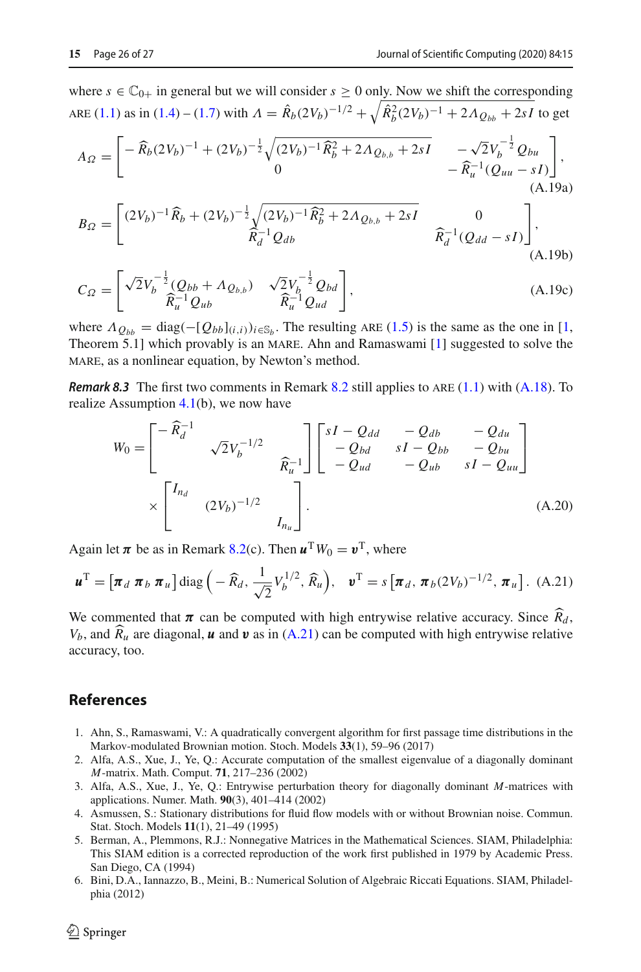where  $s \in \mathbb{C}_{0+}$  in general but we will consider  $s \ge 0$  only. Now we shift the corresponding ARE [\(1.1\)](#page-0-0) as in [\(1.4\)](#page-1-3) – [\(1.7\)](#page-1-8) with  $\Lambda = \hat{R}_b (2V_b)^{-1/2} + \sqrt{\hat{R}_b^2 (2V_b)^{-1}} + 2\Lambda \varrho_{bb} + 2sI$  to get

$$
A_{\Omega} = \begin{bmatrix} -\widehat{R}_b (2V_b)^{-1} + (2V_b)^{-\frac{1}{2}} \sqrt{(2V_b)^{-1} \widehat{R}_b^2 + 2\Lambda \varrho_{b,b} + 2sI} & -\sqrt{2}V_b^{-\frac{1}{2}} \varrho_{bu} \\ 0 & -\widehat{R}_u^{-1} (\varrho_{uu} - sI) \end{bmatrix},
$$
\n(A.19a)\n
$$
= \begin{bmatrix} (2V_b)^{-1} \widehat{R}_b + (2V_b)^{-\frac{1}{2}} \sqrt{(2V_b)^{-1} \widehat{R}_b^2 + 2\Lambda \varrho_{b,b} + 2sI} & 0 \end{bmatrix}.
$$

$$
B_{\Omega} = \begin{bmatrix} (2V_b)^{-1} \widehat{R}_b + (2V_b)^{-\frac{1}{2}} \sqrt{(2V_b)^{-1} \widehat{R}_b^2 + 2AQ_{b,b} + 2sI} & 0\\ \widehat{R}_d^{-1} Q_{db} & \widehat{R}_d^{-1} (Q_{dd} - sI) \end{bmatrix},
$$
\n(A.19b)

$$
C_{\Omega} = \begin{bmatrix} \sqrt{2}V_b^{-\frac{1}{2}}(Q_{bb} + \Lambda_{Q_{b,b}}) & \sqrt{2}V_b^{-\frac{1}{2}}Q_{bd} \\ \hat{R}_{u}^{-1}Q_{ub} & \hat{R}_{u}^{-1}Q_{ud} \end{bmatrix},
$$
(A.19c)

where  $\Lambda_{O_{bb}} = \text{diag}(-[Q_{bb}]_{(i,i)})_{i \in \mathbb{S}_b}$ . The resulting ARE [\(1.5\)](#page-1-2) is the same as the one in [\[1,](#page-25-7) Theorem 5.1] which provably is an MARE. Ahn and Ramaswami  $[1]$  $[1]$  suggested to solve the mare, as a nonlinear equation, by Newton's method.

<span id="page-25-4"></span>*Remark 8.3* The first two comments in Remark [8.2](#page-24-0) still applies to ARE [\(1.1\)](#page-0-0) with [\(A.18\)](#page-24-2). To realize Assumption [4.1\(](#page-10-1)b), we now have

<span id="page-25-5"></span>
$$
W_0 = \begin{bmatrix} -\widehat{R}_d^{-1} & & \\ & \sqrt{2}V_b^{-1/2} & \\ & & \widehat{R}_u^{-1} \end{bmatrix} \begin{bmatrix} sI - Q_{dd} & -Q_{db} & -Q_{du} \\ -Q_{bd} & sI - Q_{bb} & -Q_{bu} \\ -Q_{ud} & -Q_{ub} & sI - Q_{uu} \end{bmatrix}
$$
  
 
$$
\times \begin{bmatrix} I_{n_d} & & \\ & (2V_b)^{-1/2} & \\ & & I_{n_u} \end{bmatrix} .
$$
 (A.20)

Again let  $\pi$  be as in Remark [8.2\(](#page-24-0)c). Then  $\mathbf{u}^T W_0 = \mathbf{v}^T$ , where

<span id="page-25-6"></span>
$$
\boldsymbol{u}^{\mathrm{T}} = \left[\boldsymbol{\pi}_d \ \boldsymbol{\pi}_b \ \boldsymbol{\pi}_u\right] \mathrm{diag}\left(-\widehat{R}_d, \frac{1}{\sqrt{2}} V_b^{1/2}, \widehat{R}_u\right), \quad \boldsymbol{v}^{\mathrm{T}} = s\left[\boldsymbol{\pi}_d, \ \boldsymbol{\pi}_b (2V_b)^{-1/2}, \ \boldsymbol{\pi}_u\right]. \tag{A.21}
$$

We commented that  $\pi$  can be computed with high entrywise relative accuracy. Since  $R_d$ ,  $W$  and  $\hat{R}$  are discovered with the convention of the continuous political  $V_b$ , and  $R_u$  are diagonal, *u* and *v* as in [\(A.21\)](#page-25-6) can be computed with high entrywise relative accuracy, too.

## **References**

- <span id="page-25-7"></span>1. Ahn, S., Ramaswami, V.: A quadratically convergent algorithm for first passage time distributions in the Markov-modulated Brownian motion. Stoch. Models **33**(1), 59–96 (2017)
- <span id="page-25-2"></span>2. Alfa, A.S., Xue, J., Ye, Q.: Accurate computation of the smallest eigenvalue of a diagonally dominant *M*-matrix. Math. Comput. **71**, 217–236 (2002)
- <span id="page-25-3"></span>3. Alfa, A.S., Xue, J., Ye, Q.: Entrywise perturbation theory for diagonally dominant *M*-matrices with applications. Numer. Math. **90**(3), 401–414 (2002)
- <span id="page-25-8"></span>4. Asmussen, S.: Stationary distributions for fluid flow models with or without Brownian noise. Commun. Stat. Stoch. Models **11**(1), 21–49 (1995)
- <span id="page-25-1"></span>5. Berman, A., Plemmons, R.J.: Nonnegative Matrices in the Mathematical Sciences. SIAM, Philadelphia: This SIAM edition is a corrected reproduction of the work first published in 1979 by Academic Press. San Diego, CA (1994)
- <span id="page-25-0"></span>6. Bini, D.A., Iannazzo, B., Meini, B.: Numerical Solution of Algebraic Riccati Equations. SIAM, Philadelphia (2012)